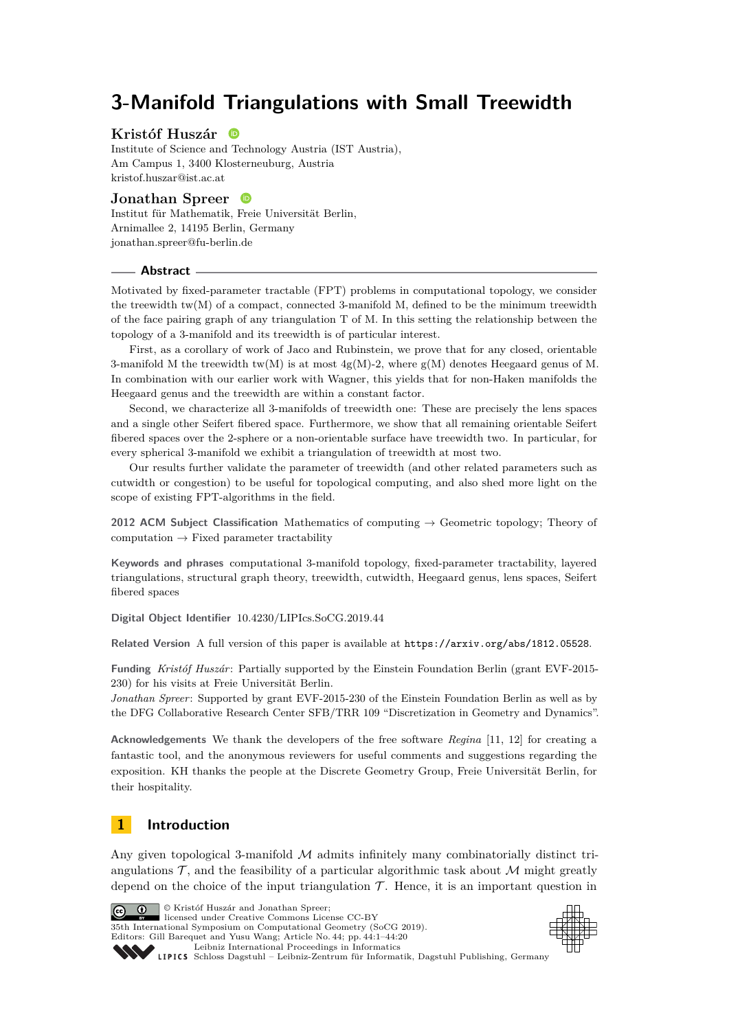# **3-Manifold Triangulations with Small Treewidth**

#### **Kristóf Huszár ID**

Institute of Science and Technology Austria (IST Austria), Am Campus 1, 3400 Klosterneuburg, Austria [kristof.huszar@ist.ac.at](mailto:kristof.huszar@ist.ac.at)

### **Jonathan Spreer**

Institut für Mathematik, Freie Universität Berlin, Arnimallee 2, 14195 Berlin, Germany [jonathan.spreer@fu-berlin.de](mailto:jonathan.spreer@fu-berlin.de)

#### **Abstract**

Motivated by fixed-parameter tractable (FPT) problems in computational topology, we consider the treewidth  $tw(M)$  of a compact, connected 3-manifold M, defined to be the minimum treewidth of the face pairing graph of any triangulation T of M. In this setting the relationship between the topology of a 3-manifold and its treewidth is of particular interest.

First, as a corollary of work of Jaco and Rubinstein, we prove that for any closed, orientable 3-manifold M the treewidth tw(M) is at most  $4g(M)-2$ , where  $g(M)$  denotes Heegaard genus of M. In combination with our earlier work with Wagner, this yields that for non-Haken manifolds the Heegaard genus and the treewidth are within a constant factor.

Second, we characterize all 3-manifolds of treewidth one: These are precisely the lens spaces and a single other Seifert fibered space. Furthermore, we show that all remaining orientable Seifert fibered spaces over the 2-sphere or a non-orientable surface have treewidth two. In particular, for every spherical 3-manifold we exhibit a triangulation of treewidth at most two.

Our results further validate the parameter of treewidth (and other related parameters such as cutwidth or congestion) to be useful for topological computing, and also shed more light on the scope of existing FPT-algorithms in the field.

**2012 ACM Subject Classification** Mathematics of computing → Geometric topology; Theory of computation  $\rightarrow$  Fixed parameter tractability

**Keywords and phrases** computational 3-manifold topology, fixed-parameter tractability, layered triangulations, structural graph theory, treewidth, cutwidth, Heegaard genus, lens spaces, Seifert fibered spaces

**Digital Object Identifier** [10.4230/LIPIcs.SoCG.2019.44](https://doi.org/10.4230/LIPIcs.SoCG.2019.44)

© Kristóf Huszár and Jonathan Spreer; licensed under Creative Commons License CC-BY

**Related Version** A full version of this paper is available at <https://arxiv.org/abs/1812.05528>.

**Funding** *Kristóf Huszár*: Partially supported by the Einstein Foundation Berlin (grant EVF-2015- 230) for his visits at Freie Universität Berlin.

*Jonathan Spreer*: Supported by grant EVF-2015-230 of the Einstein Foundation Berlin as well as by the DFG Collaborative Research Center SFB/TRR 109 "Discretization in Geometry and Dynamics".

**Acknowledgements** We thank the developers of the free software *Regina* [\[11,](#page-18-0) [12\]](#page-18-1) for creating a fantastic tool, and the anonymous reviewers for useful comments and suggestions regarding the exposition. KH thanks the people at the Discrete Geometry Group, Freie Universität Berlin, for their hospitality.

### **1 Introduction**

Any given topological 3-manifold  $\mathcal M$  admits infinitely many combinatorially distinct triangulations  $\mathcal{T}$ , and the feasibility of a particular algorithmic task about  $\mathcal{M}$  might greatly depend on the choice of the input triangulation  $\mathcal T$ . Hence, it is an important question in



35th International Symposium on Computational Geometry (SoCG 2019). Editors: Gill Barequet and Yusu Wang; Article No. 44; pp. 44:1–44[:20](#page-19-0) [Leibniz International Proceedings in Informatics](https://www.dagstuhl.de/lipics/) [Schloss Dagstuhl – Leibniz-Zentrum für Informatik, Dagstuhl Publishing, Germany](https://www.dagstuhl.de)

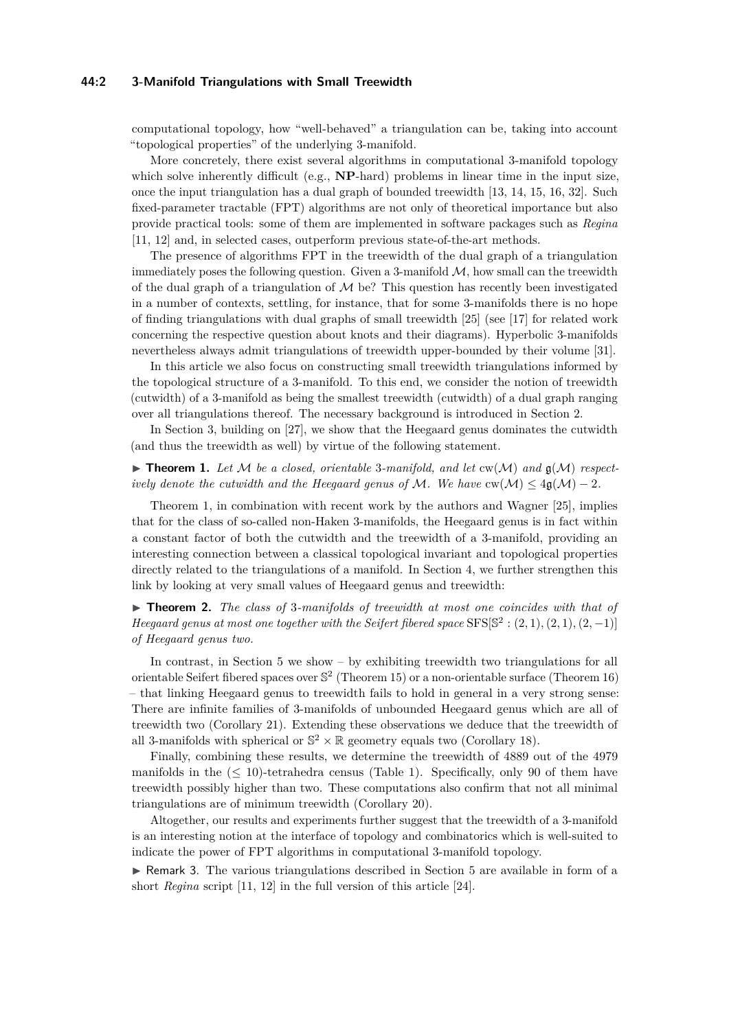#### **44:2 3-Manifold Triangulations with Small Treewidth**

computational topology, how "well-behaved" a triangulation can be, taking into account "topological properties" of the underlying 3-manifold.

More concretely, there exist several algorithms in computational 3-manifold topology which solve inherently difficult (e.g., **NP**-hard) problems in linear time in the input size, once the input triangulation has a dual graph of bounded treewidth [\[13,](#page-18-2) [14,](#page-18-3) [15,](#page-18-4) [16,](#page-18-5) [32\]](#page-19-1). Such fixed-parameter tractable (FPT) algorithms are not only of theoretical importance but also provide practical tools: some of them are implemented in software packages such as *Regina* [\[11,](#page-18-0) [12\]](#page-18-1) and, in selected cases, outperform previous state-of-the-art methods.

The presence of algorithms FPT in the treewidth of the dual graph of a triangulation immediately poses the following question. Given a 3-manifold  $M$ , how small can the treewidth of the dual graph of a triangulation of  $M$  be? This question has recently been investigated in a number of contexts, settling, for instance, that for some 3-manifolds there is no hope of finding triangulations with dual graphs of small treewidth [\[25\]](#page-18-6) (see [\[17\]](#page-18-7) for related work concerning the respective question about knots and their diagrams). Hyperbolic 3-manifolds nevertheless always admit triangulations of treewidth upper-bounded by their volume [\[31\]](#page-18-8).

In this article we also focus on constructing small treewidth triangulations informed by the topological structure of a 3-manifold. To this end, we consider the notion of treewidth (cutwidth) of a 3-manifold as being the smallest treewidth (cutwidth) of a dual graph ranging over all triangulations thereof. The necessary background is introduced in Section [2.](#page-2-0)

In Section [3,](#page-4-0) building on [\[27\]](#page-18-9), we show that the Heegaard genus dominates the cutwidth (and thus the treewidth as well) by virtue of the following statement.

<span id="page-1-0"></span> $\blacktriangleright$  **Theorem 1.** Let M be a closed, orientable 3-manifold, and let  $cw(M)$  and  $g(M)$  respect*ively denote the cutwidth and the Heegaard genus of*  $M$ *. We have*  $cw(\mathcal{M}) \leq 4g(\mathcal{M}) - 2$ *.* 

Theorem [1,](#page-1-0) in combination with recent work by the authors and Wagner [\[25\]](#page-18-6), implies that for the class of so-called non-Haken 3-manifolds, the Heegaard genus is in fact within a constant factor of both the cutwidth and the treewidth of a 3-manifold, providing an interesting connection between a classical topological invariant and topological properties directly related to the triangulations of a manifold. In Section [4,](#page-8-0) we further strengthen this link by looking at very small values of Heegaard genus and treewidth:

<span id="page-1-1"></span>▶ **Theorem 2.** *The class of 3-manifolds of treewidth at most one coincides with that of Heegaard genus at most one together with the Seifert fibered space*  $SFS[S^2 : (2,1), (2,1), (2,-1)]$ *of Heegaard genus two.*

In contrast, in Section [5](#page-12-0) we show – by exhibiting treewidth two triangulations for all orientable Seifert fibered spaces over  $\mathbb{S}^2$  (Theorem [15\)](#page-14-0) or a non-orientable surface (Theorem [16\)](#page-15-0) – that linking Heegaard genus to treewidth fails to hold in general in a very strong sense: There are infinite families of 3-manifolds of unbounded Heegaard genus which are all of treewidth two (Corollary [21\)](#page-16-0). Extending these observations we deduce that the treewidth of all 3-manifolds with spherical or  $\mathbb{S}^2 \times \mathbb{R}$  geometry equals two (Corollary [18\)](#page-15-1).

Finally, combining these results, we determine the treewidth of 4889 out of the 4979 manifolds in the  $(5 \ 10)$ -tetrahedra census (Table [1\)](#page-17-0). Specifically, only 90 of them have treewidth possibly higher than two. These computations also confirm that not all minimal triangulations are of minimum treewidth (Corollary [20\)](#page-16-1).

Altogether, our results and experiments further suggest that the treewidth of a 3-manifold is an interesting notion at the interface of topology and combinatorics which is well-suited to indicate the power of FPT algorithms in computational 3-manifold topology.

 $\triangleright$  Remark 3. The various triangulations described in Section [5](#page-12-0) are available in form of a short *Regina* script [\[11,](#page-18-0) [12\]](#page-18-1) in the full version of this article [\[24\]](#page-18-10).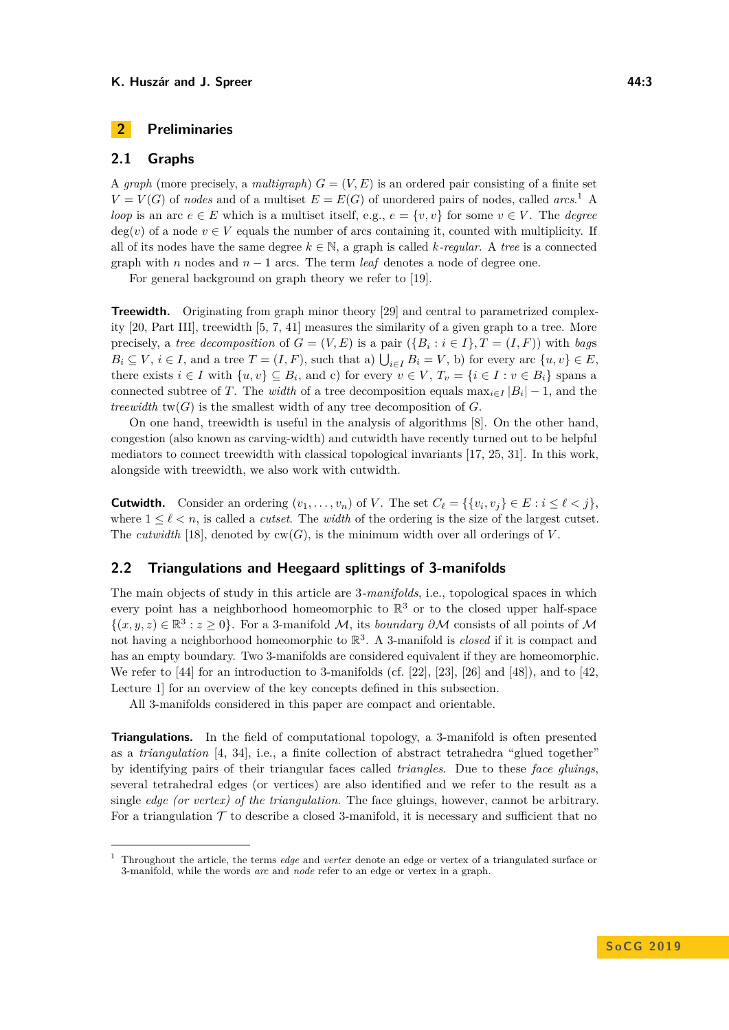### <span id="page-2-0"></span>**2 Preliminaries**

### <span id="page-2-2"></span>**2.1 Graphs**

A *graph* (more precisely, a *multigraph*)  $G = (V, E)$  is an ordered pair consisting of a finite set  $V = V(G)$  of *nodes* and of a multiset  $E = E(G)$  of unordered pairs of nodes, called *arcs*.<sup>[1](#page-2-1)</sup> A *loop* is an arc  $e \in E$  which is a multiset itself, e.g.,  $e = \{v, v\}$  for some  $v \in V$ . The *degree*  $deg(v)$  of a node  $v \in V$  equals the number of arcs containing it, counted with multiplicity. If all of its nodes have the same degree  $k \in \mathbb{N}$ , a graph is called *k-regular*. A *tree* is a connected graph with *n* nodes and  $n-1$  arcs. The term *leaf* denotes a node of degree one.

For general background on graph theory we refer to [\[19\]](#page-18-11).

**Treewidth.** Originating from graph minor theory [\[29\]](#page-18-12) and central to parametrized complexity [\[20,](#page-18-13) Part III], treewidth [\[5,](#page-17-1) [7,](#page-17-2) [41\]](#page-19-2) measures the similarity of a given graph to a tree. More precisely, a *tree decomposition* of  $G = (V, E)$  is a pair  $(\{B_i : i \in I\}, T = (I, F))$  with *bags*  $B_i \subseteq V$ ,  $i \in I$ , and a tree  $T = (I, F)$ , such that a)  $\bigcup_{i \in I} B_i = V$ , b) for every arc  $\{u, v\} \in E$ , there exists  $i \in I$  with  $\{u, v\} \subseteq B_i$ , and c) for every  $v \in V$ ,  $T_v = \{i \in I : v \in B_i\}$  spans a connected subtree of *T*. The *width* of a tree decomposition equals  $\max_{i \in I} |B_i| - 1$ , and the *treewidth*  $tw(G)$  is the smallest width of any tree decomposition of  $G$ .

On one hand, treewidth is useful in the analysis of algorithms [\[8\]](#page-17-3). On the other hand, congestion (also known as carving-width) and cutwidth have recently turned out to be helpful mediators to connect treewidth with classical topological invariants [\[17,](#page-18-7) [25,](#page-18-6) [31\]](#page-18-8). In this work, alongside with treewidth, we also work with cutwidth.

**Cutwidth.** Consider an ordering  $(v_1, \ldots, v_n)$  of *V*. The set  $C_\ell = \{ \{v_i, v_j\} \in E : i \leq \ell < j \},\$ where  $1 \leq \ell \leq n$ , is called a *cutset*. The *width* of the ordering is the size of the largest cutset. The *cutwidth* [\[18\]](#page-18-14), denoted by  $cw(G)$ , is the minimum width over all orderings of *V*.

### <span id="page-2-3"></span>**2.2 Triangulations and Heegaard splittings of 3-manifolds**

The main objects of study in this article are 3*-manifolds*, i.e., topological spaces in which every point has a neighborhood homeomorphic to  $\mathbb{R}^3$  or to the closed upper half-space  $\{(x, y, z) \in \mathbb{R}^3 : z \ge 0\}$ . For a 3-manifold M, its *boundary*  $\partial M$  consists of all points of M not having a neighborhood homeomorphic to R 3 . A 3-manifold is *closed* if it is compact and has an empty boundary. Two 3-manifolds are considered equivalent if they are homeomorphic. We refer to  $[44]$  for an introduction to 3-manifolds (cf. [\[22\]](#page-18-15), [\[23\]](#page-18-16), [\[26\]](#page-18-17) and [\[48\]](#page-19-4)), and to [\[42,](#page-19-5) Lecture 1] for an overview of the key concepts defined in this subsection.

All 3-manifolds considered in this paper are compact and orientable.

**Triangulations.** In the field of computational topology, a 3-manifold is often presented as a *triangulation* [\[4,](#page-17-4) [34\]](#page-19-6), i.e., a finite collection of abstract tetrahedra "glued together" by identifying pairs of their triangular faces called *triangles*. Due to these *face gluings*, several tetrahedral edges (or vertices) are also identified and we refer to the result as a single *edge (or vertex) of the triangulation*. The face gluings, however, cannot be arbitrary. For a triangulation  $\mathcal T$  to describe a closed 3-manifold, it is necessary and sufficient that no

<span id="page-2-1"></span><sup>1</sup> Throughout the article, the terms *edge* and *vertex* denote an edge or vertex of a triangulated surface or 3-manifold, while the words *arc* and *node* refer to an edge or vertex in a graph.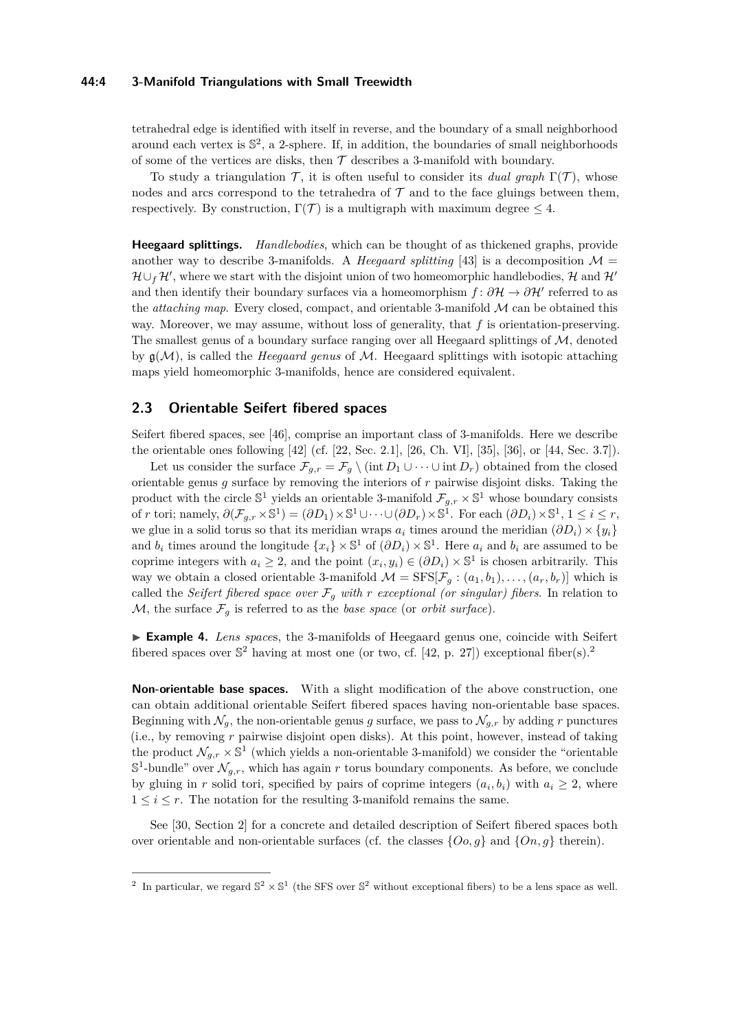#### **44:4 3-Manifold Triangulations with Small Treewidth**

tetrahedral edge is identified with itself in reverse, and the boundary of a small neighborhood around each vertex is  $\mathbb{S}^2$ , a 2-sphere. If, in addition, the boundaries of small neighborhoods of some of the vertices are disks, then  $\mathcal T$  describes a 3-manifold with boundary.

To study a triangulation  $\mathcal{T}$ , it is often useful to consider its *dual graph*  $\Gamma(\mathcal{T})$ , whose nodes and arcs correspond to the tetrahedra of  $\mathcal T$  and to the face gluings between them, respectively. By construction,  $\Gamma(\mathcal{T})$  is a multigraph with maximum degree  $\leq 4$ .

**Heegaard splittings.** *Handlebodies*, which can be thought of as thickened graphs, provide another way to describe 3-manifolds. A *Heegaard splitting* [\[43\]](#page-19-7) is a decomposition  $\mathcal{M} =$  $\mathcal{H} \cup_f \mathcal{H}'$ , where we start with the disjoint union of two homeomorphic handlebodies, H and  $\mathcal{H}'$ and then identify their boundary surfaces via a homeomorphism  $f: \partial \mathcal{H} \to \partial \mathcal{H}'$  referred to as the *attaching map*. Every closed, compact, and orientable 3-manifold M can be obtained this way. Moreover, we may assume, without loss of generality, that *f* is orientation-preserving. The smallest genus of a boundary surface ranging over all Heegaard splittings of  $M$ , denoted by g(M), is called the *Heegaard genus* of M. Heegaard splittings with isotopic attaching maps yield homeomorphic 3-manifolds, hence are considered equivalent.

### **2.3 Orientable Seifert fibered spaces**

Seifert fibered spaces, see [\[46\]](#page-19-8), comprise an important class of 3-manifolds. Here we describe the orientable ones following [\[42\]](#page-19-5) (cf. [\[22,](#page-18-15) Sec. 2.1], [\[26,](#page-18-17) Ch. VI], [\[35\]](#page-19-9), [\[36\]](#page-19-10), or [\[44,](#page-19-3) Sec. 3.7]).

Let us consider the surface  $\mathcal{F}_{g,r} = \mathcal{F}_g \setminus (\text{int } D_1 \cup \cdots \cup \text{int } D_r)$  obtained from the closed orientable genus *g* surface by removing the interiors of *r* pairwise disjoint disks. Taking the product with the circle  $\mathbb{S}^1$  yields an orientable 3-manifold  $\mathcal{F}_{g,r} \times \mathbb{S}^1$  whose boundary consists of *r* tori; namely,  $\partial(\mathcal{F}_{g,r} \times \mathbb{S}^1) = (\partial D_1) \times \mathbb{S}^1 \cup \cdots \cup (\partial D_r) \times \mathbb{S}^1$ . For each  $(\partial D_i) \times \mathbb{S}^1$ ,  $1 \leq i \leq r$ , we glue in a solid torus so that its meridian wraps  $a_i$  times around the meridian  $(\partial D_i) \times \{y_i\}$ and  $b_i$  times around the longitude  $\{x_i\} \times \mathbb{S}^1$  of  $(\partial D_i) \times \mathbb{S}^1$ . Here  $a_i$  and  $b_i$  are assumed to be coprime integers with  $a_i \geq 2$ , and the point  $(x_i, y_i) \in (\partial D_i) \times \mathbb{S}^1$  is chosen arbitrarily. This way we obtain a closed orientable 3-manifold  $\mathcal{M} = \text{SFS}[\mathcal{F}_g : (a_1, b_1), \dots, (a_r, b_r)]$  which is called the *Seifert fibered space over*  $\mathcal{F}_g$  *with r exceptional (or singular) fibers*. In relation to M, the surface  $\mathcal{F}_q$  is referred to as the *base space* (or *orbit surface*).

I **Example 4.** *Lens space*s, the 3-manifolds of Heegaard genus one, coincide with Seifert fibered spaces over  $\mathbb{S}^2$  $\mathbb{S}^2$  having at most one (or two, cf. [\[42,](#page-19-5) p. 27]) exceptional fiber(s).<sup>2</sup>

**Non-orientable base spaces.** With a slight modification of the above construction, one can obtain additional orientable Seifert fibered spaces having non-orientable base spaces. Beginning with  $\mathcal{N}_g$ , the non-orientable genus *g* surface, we pass to  $\mathcal{N}_{g,r}$  by adding *r* punctures (i.e., by removing *r* pairwise disjoint open disks). At this point, however, instead of taking the product  $\mathcal{N}_{g,r} \times \mathbb{S}^1$  (which yields a non-orientable 3-manifold) we consider the "orientable"  $\mathbb{S}^1$ -bundle" over  $\mathcal{N}_{g,r}$ , which has again r torus boundary components. As before, we conclude by gluing in *r* solid tori, specified by pairs of coprime integers  $(a_i, b_i)$  with  $a_i \geq 2$ , where  $1 \leq i \leq r$ . The notation for the resulting 3-manifold remains the same.

See [\[30,](#page-18-18) Section 2] for a concrete and detailed description of Seifert fibered spaces both over orientable and non-orientable surfaces (cf. the classes  $\{O_0, g\}$  and  $\{On, g\}$  therein).

<span id="page-3-0"></span><sup>&</sup>lt;sup>2</sup> In particular, we regard  $\mathbb{S}^2 \times \mathbb{S}^1$  (the SFS over  $\mathbb{S}^2$  without exceptional fibers) to be a lens space as well.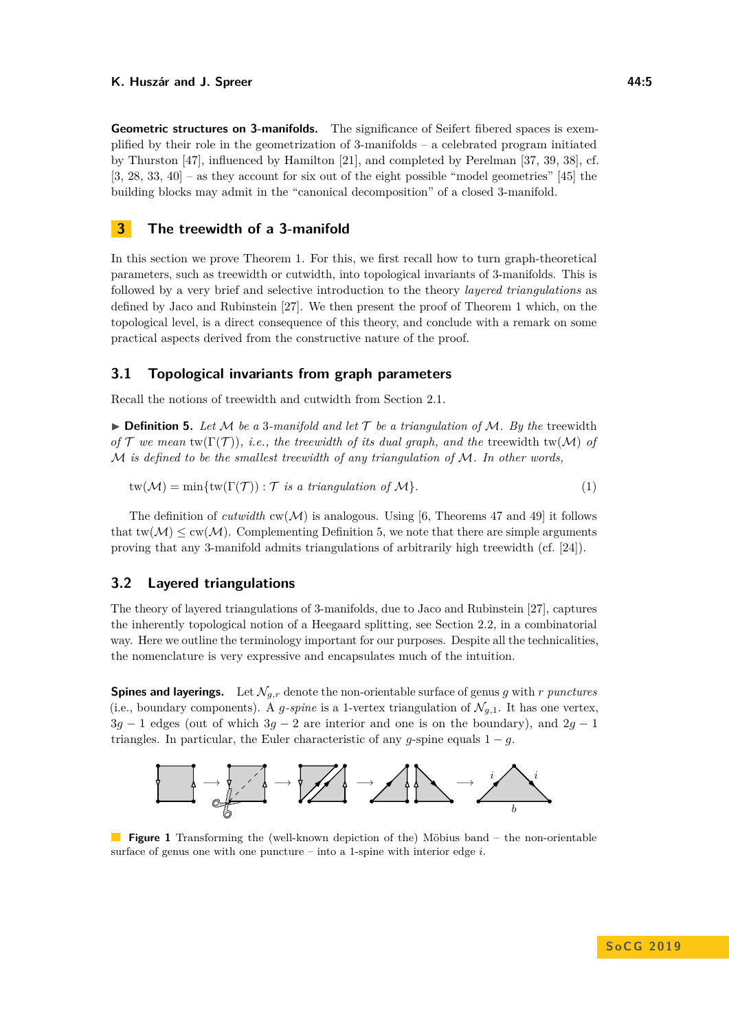**Geometric structures on 3-manifolds.** The significance of Seifert fibered spaces is exemplified by their role in the geometrization of  $3$ -manifolds – a celebrated program initiated by Thurston [\[47\]](#page-19-11), influenced by Hamilton [\[21\]](#page-18-19), and completed by Perelman [\[37,](#page-19-12) [39,](#page-19-13) [38\]](#page-19-14), cf. [\[3,](#page-17-5) [28,](#page-18-20) [33,](#page-19-15) [40\]](#page-19-16) – as they account for six out of the eight possible "model geometries" [\[45\]](#page-19-17) the building blocks may admit in the "canonical decomposition" of a closed 3-manifold.

### <span id="page-4-0"></span>**3 The treewidth of a 3-manifold**

In this section we prove Theorem [1.](#page-1-0) For this, we first recall how to turn graph-theoretical parameters, such as treewidth or cutwidth, into topological invariants of 3-manifolds. This is followed by a very brief and selective introduction to the theory *layered triangulations* as defined by Jaco and Rubinstein [\[27\]](#page-18-9). We then present the proof of Theorem [1](#page-1-0) which, on the topological level, is a direct consequence of this theory, and conclude with a remark on some practical aspects derived from the constructive nature of the proof.

### **3.1 Topological invariants from graph parameters**

<span id="page-4-1"></span>Recall the notions of treewidth and cutwidth from Section [2.1.](#page-2-2)

 $\triangleright$  **Definition 5.** Let M be a 3-manifold and let T be a triangulation of M. By the treewidth *of*  $\mathcal T$  *we mean*  $\text{tw}(\Gamma(\mathcal T))$ *, i.e., the treewidth of its dual graph, and the* treewidth  $\text{tw}(\mathcal M)$  *of* M *is defined to be the smallest treewidth of any triangulation of* M*. In other words,*

$$
tw(\mathcal{M}) = min\{tw(\Gamma(\mathcal{T})): \mathcal{T} \text{ is a triangulation of } \mathcal{M}\}. \tag{1}
$$

The definition of *cutwidth*  $cw(\mathcal{M})$  is analogous. Using [\[6,](#page-17-6) Theorems 47 and 49] it follows that  $tw(\mathcal{M}) \leq cw(\mathcal{M})$ . Complementing Definition [5,](#page-4-1) we note that there are simple arguments proving that any 3-manifold admits triangulations of arbitrarily high treewidth (cf. [\[24\]](#page-18-10)).

### <span id="page-4-3"></span>**3.2 Layered triangulations**

The theory of layered triangulations of 3-manifolds, due to Jaco and Rubinstein [\[27\]](#page-18-9), captures the inherently topological notion of a Heegaard splitting, see Section [2.2,](#page-2-3) in a combinatorial way. Here we outline the terminology important for our purposes. Despite all the technicalities, the nomenclature is very expressive and encapsulates much of the intuition.

**Spines and layerings.** Let  $\mathcal{N}_{q,r}$  denote the non-orientable surface of genus *g* with *r punctures* (i.e., boundary components). A *g*-spine is a 1-vertex triangulation of  $\mathcal{N}_{q,1}$ . It has one vertex, 3*g* − 1 edges (out of which 3*g* − 2 are interior and one is on the boundary), and 2*g* − 1 triangles. In particular, the Euler characteristic of any  $g$ -spine equals  $1 - g$ .

<span id="page-4-2"></span>

**Figure 1** Transforming the (well-known depiction of the) Möbius band – the non-orientable surface of genus one with one puncture – into a 1-spine with interior edge *i*.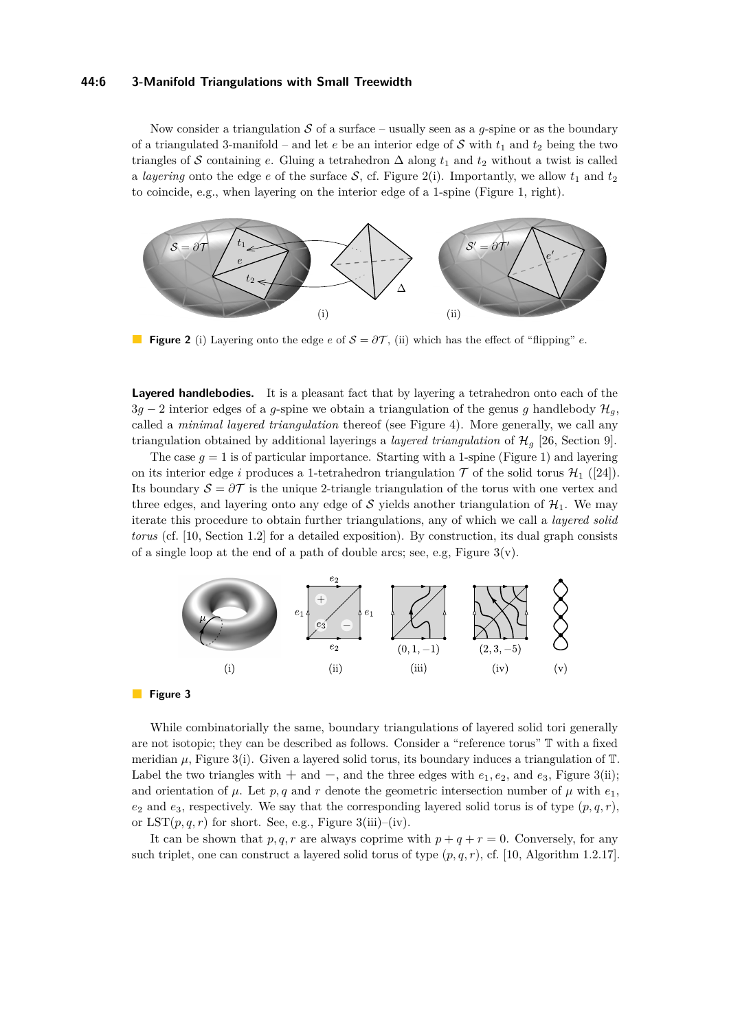#### **44:6 3-Manifold Triangulations with Small Treewidth**

Now consider a triangulation  $S$  of a surface – usually seen as a *g*-spine or as the boundary of a triangulated 3-manifold – and let  $e$  be an interior edge of  $S$  with  $t_1$  and  $t_2$  being the two triangles of S containing *e*. Gluing a tetrahedron  $\Delta$  along  $t_1$  and  $t_2$  without a twist is called a *layering* onto the edge *e* of the surface S, cf. Figure [2\(](#page-5-0)i). Importantly, we allow  $t_1$  and  $t_2$ to coincide, e.g., when layering on the interior edge of a 1-spine (Figure [1,](#page-4-2) right).

<span id="page-5-0"></span>

**Figure 2** (i) Layering onto the edge  $e$  of  $S = \partial \mathcal{T}$ , (ii) which has the effect of "flipping"  $e$ .

**Layered handlebodies.** It is a pleasant fact that by layering a tetrahedron onto each of the  $3g - 2$  interior edges of a *g*-spine we obtain a triangulation of the genus *g* handlebody  $\mathcal{H}_q$ , called a *minimal layered triangulation* thereof (see Figure [4\)](#page-7-0). More generally, we call any triangulation obtained by additional layerings a *layered triangulation* of  $\mathcal{H}_g$  [\[26,](#page-18-17) Section 9].

The case  $g = 1$  is of particular importance. Starting with a 1-spine (Figure [1\)](#page-4-2) and layering on its interior edge *i* produces a 1-tetrahedron triangulation  $\mathcal T$  of the solid torus  $\mathcal H_1$  ([\[24\]](#page-18-10)). Its boundary  $S = \partial \mathcal{T}$  is the unique 2-triangle triangulation of the torus with one vertex and three edges, and layering onto any edge of S yields another triangulation of  $\mathcal{H}_1$ . We may iterate this procedure to obtain further triangulations, any of which we call a *layered solid torus* (cf. [\[10,](#page-18-21) Section 1.2] for a detailed exposition). By construction, its dual graph consists of a single loop at the end of a path of double arcs; see, e.g, Figure  $3(v)$ .

<span id="page-5-1"></span>

**Figure 3** 

While combinatorially the same, boundary triangulations of layered solid tori generally are not isotopic; they can be described as follows. Consider a "reference torus" T with a fixed meridian  $\mu$ , Figure [3\(](#page-5-1)i). Given a layered solid torus, its boundary induces a triangulation of  $\mathbb{T}$ . Label the two triangles with  $+$  and  $-$ , and the three edges with  $e_1, e_2$ , and  $e_3$ , Figure [3\(](#page-5-1)ii); and orientation of  $\mu$ . Let  $p, q$  and  $r$  denote the geometric intersection number of  $\mu$  with  $e_1$ ,  $e_2$  and  $e_3$ , respectively. We say that the corresponding layered solid torus is of type  $(p, q, r)$ , or  $LST(p, q, r)$  for short. See, e.g., Figure [3\(](#page-5-1)iii)–(iv).

It can be shown that  $p, q, r$  are always coprime with  $p + q + r = 0$ . Conversely, for any such triplet, one can construct a layered solid torus of type  $(p, q, r)$ , cf. [\[10,](#page-18-21) Algorithm 1.2.17].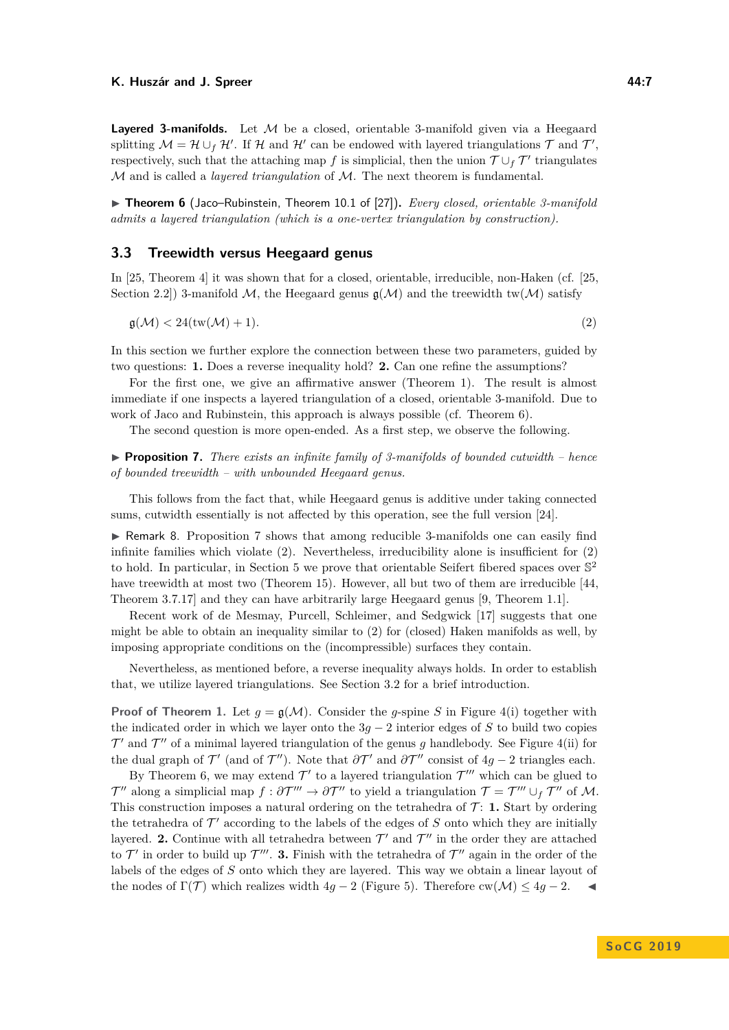**Layered 3-manifolds.** Let M be a closed, orientable 3-manifold given via a Heegaard splitting  $\mathcal{M} = \mathcal{H} \cup_f \mathcal{H}'$ . If  $\mathcal{H}$  and  $\mathcal{H}'$  can be endowed with layered triangulations  $\mathcal{T}$  and  $\mathcal{T}'$ , respectively, such that the attaching map *f* is simplicial, then the union  $\mathcal{T} \cup_f \mathcal{T}'$  triangulates M and is called a *layered triangulation* of M. The next theorem is fundamental.

<span id="page-6-0"></span>▶ Theorem 6 (Jaco–Rubinstein, Theorem 10.1 of [\[27\]](#page-18-9)). *Every closed, orientable 3-manifold admits a layered triangulation (which is a one-vertex triangulation by construction).*

#### **3.3 Treewidth versus Heegaard genus**

In [\[25,](#page-18-6) Theorem 4] it was shown that for a closed, orientable, irreducible, non-Haken (cf. [\[25,](#page-18-6) Section 2.2. 3-manifold  $\mathcal{M}$ , the Heegaard genus  $\mathfrak{g}(\mathcal{M})$  and the treewidth tw $(\mathcal{M})$  satisfy

<span id="page-6-2"></span>
$$
\mathfrak{g}(\mathcal{M}) < 24\text{(tw}(\mathcal{M}) + 1). \tag{2}
$$

In this section we further explore the connection between these two parameters, guided by two questions: **1.** Does a reverse inequality hold? **2.** Can one refine the assumptions?

For the first one, we give an affirmative answer (Theorem [1\)](#page-1-0). The result is almost immediate if one inspects a layered triangulation of a closed, orientable 3-manifold. Due to work of Jaco and Rubinstein, this approach is always possible (cf. Theorem [6\)](#page-6-0).

The second question is more open-ended. As a first step, we observe the following.

<span id="page-6-1"></span>**Proposition 7.** *There exists an infinite family of 3-manifolds of bounded cutwidth – hence of bounded treewidth – with unbounded Heegaard genus.*

This follows from the fact that, while Heegaard genus is additive under taking connected sums, cutwidth essentially is not affected by this operation, see the full version [\[24\]](#page-18-10).

 $\triangleright$  Remark 8. Proposition [7](#page-6-1) shows that among reducible 3-manifolds one can easily find infinite families which violate  $(2)$ . Nevertheless, irreducibility alone is insufficient for  $(2)$ to hold. In particular, in Section [5](#page-12-0) we prove that orientable Seifert fibered spaces over  $\mathbb{S}^2$ have treewidth at most two (Theorem [15\)](#page-14-0). However, all but two of them are irreducible [\[44,](#page-19-3) Theorem 3.7.17] and they can have arbitrarily large Heegaard genus [\[9,](#page-18-22) Theorem 1.1].

Recent work of de Mesmay, Purcell, Schleimer, and Sedgwick [\[17\]](#page-18-7) suggests that one might be able to obtain an inequality similar to [\(2\)](#page-6-2) for (closed) Haken manifolds as well, by imposing appropriate conditions on the (incompressible) surfaces they contain.

Nevertheless, as mentioned before, a reverse inequality always holds. In order to establish that, we utilize layered triangulations. See Section [3.2](#page-4-3) for a brief introduction.

**Proof of Theorem [1.](#page-1-0)** Let  $g = g(\mathcal{M})$ . Consider the *g*-spine *S* in Figure [4\(](#page-7-0)i) together with the indicated order in which we layer onto the 3*g* − 2 interior edges of *S* to build two copies  $\mathcal{T}'$  and  $\mathcal{T}''$  of a minimal layered triangulation of the genus *g* handlebody. See Figure [4\(](#page-7-0)ii) for the dual graph of  $\mathcal{T}'$  (and of  $\mathcal{T}'$ ). Note that  $\partial \mathcal{T}'$  and  $\partial \mathcal{T}''$  consist of  $4g - 2$  triangles each.

By Theorem [6,](#page-6-0) we may extend  $\mathcal{T}'$  to a layered triangulation  $\mathcal{T}'''$  which can be glued to  $\mathcal{T}''$  along a simplicial map  $f : \partial \mathcal{T}''' \to \partial \mathcal{T}''$  to yield a triangulation  $\mathcal{T} = \mathcal{T}''' \cup_f \mathcal{T}''$  of M. This construction imposes a natural ordering on the tetrahedra of  $\mathcal{T}$ : **1.** Start by ordering the tetrahedra of  $\mathcal{T}'$  according to the labels of the edges of  $S$  onto which they are initially layered. **2.** Continue with all tetrahedra between  $\mathcal{T}'$  and  $\mathcal{T}''$  in the order they are attached to  $\mathcal{T}'$  in order to build up  $\mathcal{T}'''$ . 3. Finish with the tetrahedra of  $\mathcal{T}''$  again in the order of the labels of the edges of *S* onto which they are layered. This way we obtain a linear layout of the nodes of  $\Gamma(\mathcal{T})$  which realizes width  $4q - 2$  (Figure [5\)](#page-7-1). Therefore cw( $\mathcal{M}$ )  $\leq 4q - 2$ .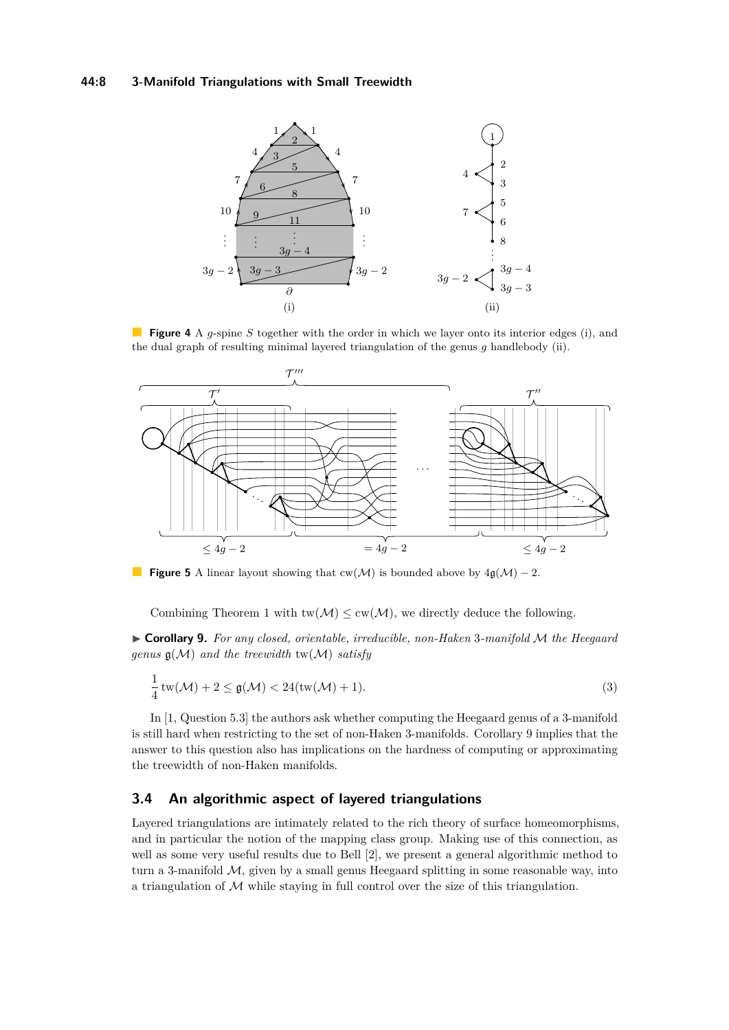### **44:8 3-Manifold Triangulations with Small Treewidth**

<span id="page-7-0"></span>

**Figure 4** A *g*-spine *S* together with the order in which we layer onto its interior edges (i), and the dual graph of resulting minimal layered triangulation of the genus *g* handlebody (ii).

<span id="page-7-1"></span>

**Figure 5** A linear layout showing that  $cw(\mathcal{M})$  is bounded above by  $4\mathfrak{g}(\mathcal{M}) - 2$ .

Combining Theorem [1](#page-1-0) with  $\text{tw}(\mathcal{M}) \leq \text{cw}(\mathcal{M})$ , we directly deduce the following.

<span id="page-7-2"></span>I **Corollary 9.** *For any closed, orientable, irreducible, non-Haken* 3*-manifold* M *the Heegaard genus*  $g(\mathcal{M})$  *and the treewidth* tw $(\mathcal{M})$  *satisfy* 

$$
\frac{1}{4}\operatorname{tw}(\mathcal{M}) + 2 \le \mathfrak{g}(\mathcal{M}) < 24(\operatorname{tw}(\mathcal{M}) + 1). \tag{3}
$$

In [\[1,](#page-17-7) Question 5.3] the authors ask whether computing the Heegaard genus of a 3-manifold is still hard when restricting to the set of non-Haken 3-manifolds. Corollary [9](#page-7-2) implies that the answer to this question also has implications on the hardness of computing or approximating the treewidth of non-Haken manifolds.

### **3.4 An algorithmic aspect of layered triangulations**

Layered triangulations are intimately related to the rich theory of surface homeomorphisms, and in particular the notion of the mapping class group. Making use of this connection, as well as some very useful results due to Bell [\[2\]](#page-17-8), we present a general algorithmic method to turn a 3-manifold  $M$ , given by a small genus Heegaard splitting in some reasonable way, into a triangulation of  $M$  while staying in full control over the size of this triangulation.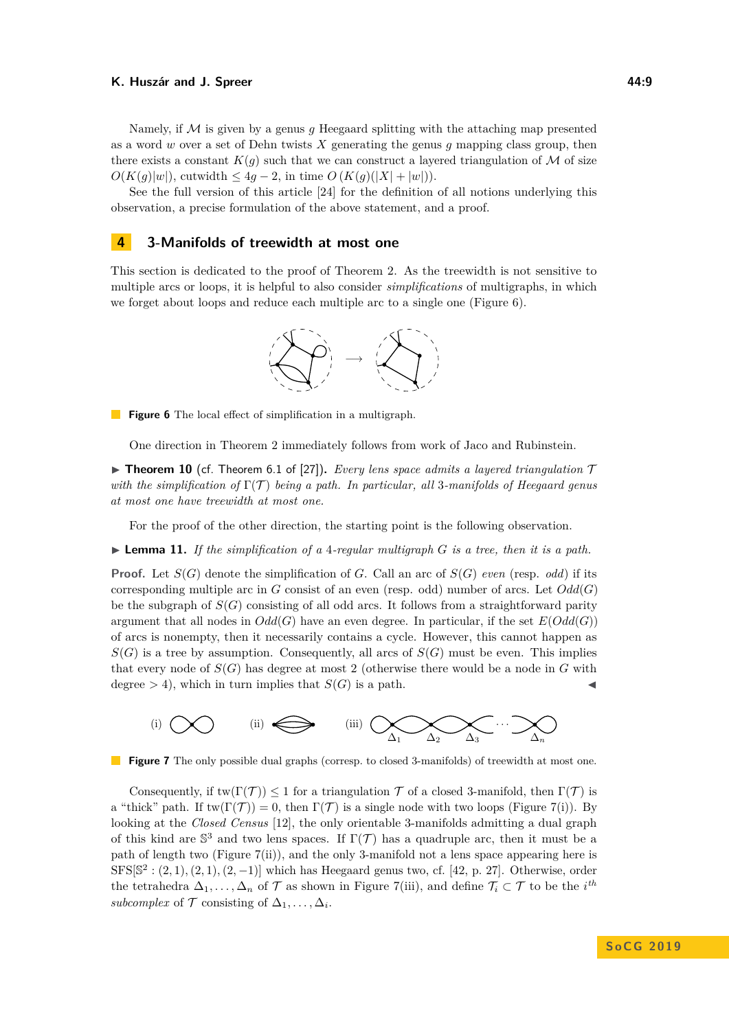Namely, if M is given by a genus *g* Heegaard splitting with the attaching map presented as a word *w* over a set of Dehn twists *X* generating the genus *g* mapping class group, then there exists a constant  $K(q)$  such that we can construct a layered triangulation of M of size *O*(*K*(*g*)|*w*|), cutwidth ≤ 4*g* − 2, in time *O* (*K*(*g*)(|*X*| + |*w*|)).

See the full version of this article [\[24\]](#page-18-10) for the definition of all notions underlying this observation, a precise formulation of the above statement, and a proof.

### <span id="page-8-0"></span>**4 3-Manifolds of treewidth at most one**

<span id="page-8-1"></span>This section is dedicated to the proof of Theorem [2.](#page-1-1) As the treewidth is not sensitive to multiple arcs or loops, it is helpful to also consider *simplifications* of multigraphs, in which we forget about loops and reduce each multiple arc to a single one (Figure [6\)](#page-8-1).



**Figure 6** The local effect of simplification in a multigraph.

One direction in Theorem [2](#page-1-1) immediately follows from work of Jaco and Rubinstein.

**Findmergeright Theorem 6.1 of [\[27\]](#page-18-9)).** *Every lens space admits a layered triangulation*  $\mathcal{T}$ *with the simplification of* Γ(T ) *being a path. In particular, all* 3*-manifolds of Heegaard genus at most one have treewidth at most one.*

For the proof of the other direction, the starting point is the following observation.

 $\blacktriangleright$  **Lemma 11.** If the simplification of a 4-regular multigraph G is a tree, then it is a path.

**Proof.** Let  $S(G)$  denote the simplification of *G*. Call an arc of  $S(G)$  *even* (resp. *odd*) if its corresponding multiple arc in *G* consist of an even (resp. odd) number of arcs. Let  $Odd(G)$ be the subgraph of  $S(G)$  consisting of all odd arcs. It follows from a straightforward parity argument that all nodes in  $Odd(G)$  have an even degree. In particular, if the set  $E(Odd(G))$ of arcs is nonempty, then it necessarily contains a cycle. However, this cannot happen as  $S(G)$  is a tree by assumption. Consequently, all arcs of  $S(G)$  must be even. This implies that every node of  $S(G)$  has degree at most 2 (otherwise there would be a node in  $G$  with degree  $>$  4), which in turn implies that *S*(*G*) is a path.

<span id="page-8-2"></span>



Consequently, if  $\text{tw}(\Gamma(\mathcal{T})) \leq 1$  for a triangulation  $\mathcal T$  of a closed 3-manifold, then  $\Gamma(\mathcal{T})$  is a "thick" path. If  $\text{tw}(\Gamma(\mathcal{T})) = 0$ , then  $\Gamma(\mathcal{T})$  is a single node with two loops (Figure [7\(](#page-8-2)i)). By looking at the *Closed Census* [\[12\]](#page-18-1), the only orientable 3-manifolds admitting a dual graph of this kind are  $\mathbb{S}^3$  and two lens spaces. If  $\Gamma(\mathcal{T})$  has a quadruple arc, then it must be a path of length two (Figure [7\(](#page-8-2)ii)), and the only 3-manifold not a lens space appearing here is  $SFS[\mathbb{S}^2:(2,1),(2,1),(2,-1)]$  which has Heegaard genus two, cf. [\[42,](#page-19-5) p. 27]. Otherwise, order the tetrahedra  $\Delta_1, \ldots, \Delta_n$  of  $\mathcal T$  as shown in Figure [7\(](#page-8-2)iii), and define  $\mathcal T_i \subset \mathcal T$  to be the *i*<sup>th</sup> *subcomplex* of  $\mathcal{T}$  consisting of  $\Delta_1, \ldots, \Delta_i$ .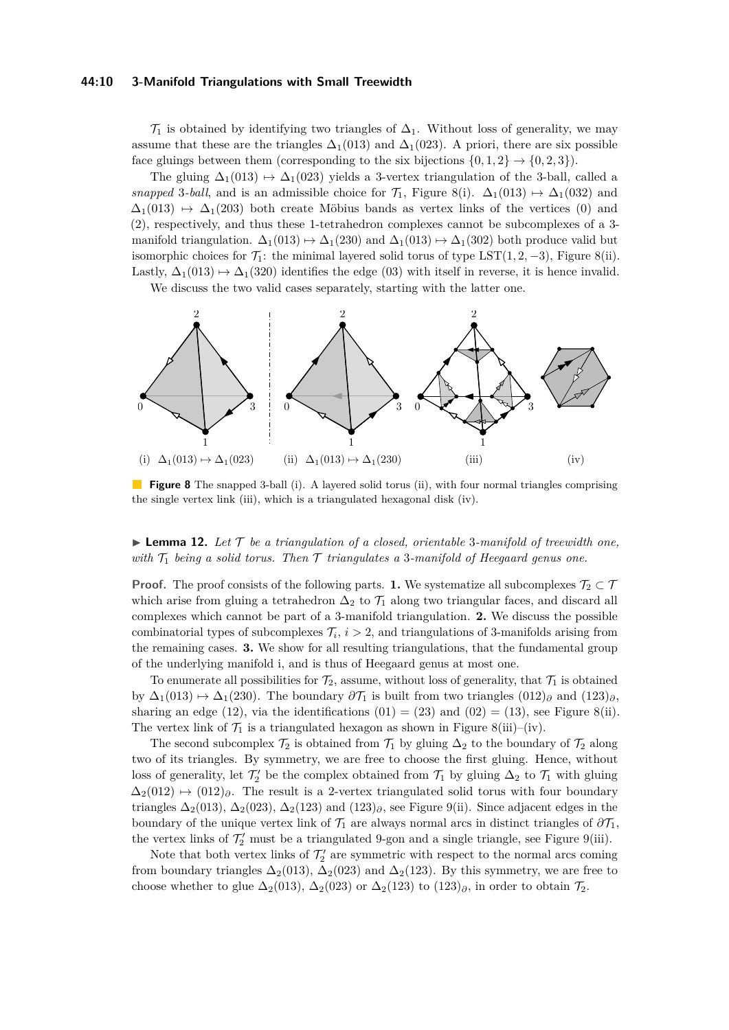#### **44:10 3-Manifold Triangulations with Small Treewidth**

 $\mathcal{T}_1$  is obtained by identifying two triangles of  $\Delta_1$ . Without loss of generality, we may assume that these are the triangles  $\Delta_1(013)$  and  $\Delta_1(023)$ . A priori, there are six possible face gluings between them (corresponding to the six bijections  $\{0, 1, 2\} \rightarrow \{0, 2, 3\}$ ).

The gluing  $\Delta_1(013) \rightarrow \Delta_1(023)$  yields a 3-vertex triangulation of the 3-ball, called a *snapped* 3*-ball*, and is an admissible choice for  $\mathcal{T}_1$ , Figure [8\(](#page-9-0)i).  $\Delta_1(013) \rightarrow \Delta_1(032)$  and  $\Delta_1(013) \rightarrow \Delta_1(203)$  both create Möbius bands as vertex links of the vertices (0) and (2), respectively, and thus these 1-tetrahedron complexes cannot be subcomplexes of a 3 manifold triangulation.  $\Delta_1(013) \mapsto \Delta_1(230)$  and  $\Delta_1(013) \mapsto \Delta_1(302)$  both produce valid but isomorphic choices for  $\mathcal{T}_1$ : the minimal layered solid torus of type LST(1, 2, -3), Figure [8\(](#page-9-0)ii). Lastly,  $\Delta_1(013) \rightarrow \Delta_1(320)$  identifies the edge (03) with itself in reverse, it is hence invalid.

We discuss the two valid cases separately, starting with the latter one.

<span id="page-9-0"></span>

**Figure 8** The snapped 3-ball (i). A layered solid torus (ii), with four normal triangles comprising the single vertex link (iii), which is a triangulated hexagonal disk (iv).

### <span id="page-9-1"></span> $\blacktriangleright$  **Lemma 12.** Let  $\mathcal T$  be a triangulation of a closed, orientable 3-manifold of treewidth one, *with*  $T_1$  *being a solid torus. Then*  $T$  *triangulates a* 3*-manifold of Heegaard genus one.*

**Proof.** The proof consists of the following parts. **1.** We systematize all subcomplexes  $\mathcal{T}_2 \subset \mathcal{T}$ which arise from gluing a tetrahedron  $\Delta_2$  to  $\mathcal{T}_1$  along two triangular faces, and discard all complexes which cannot be part of a 3-manifold triangulation. **2.** We discuss the possible combinatorial types of subcomplexes  $\mathcal{T}_i$ ,  $i > 2$ , and triangulations of 3-manifolds arising from the remaining cases. **3.** We show for all resulting triangulations, that the fundamental group of the underlying manifold i, and is thus of Heegaard genus at most one.

To enumerate all possibilities for  $\mathcal{T}_2$ , assume, without loss of generality, that  $\mathcal{T}_1$  is obtained by  $\Delta_1(013) \rightarrow \Delta_1(230)$ . The boundary  $\partial \mathcal{T}_1$  is built from two triangles  $(012)_{\partial}$  and  $(123)_{\partial}$ , sharing an edge (12), via the identifications  $(01) = (23)$  and  $(02) = (13)$ , see Figure [8\(](#page-9-0)ii). The vertex link of  $\mathcal{T}_1$  is a triangulated hexagon as shown in Figure [8\(](#page-9-0)iii)–(iv).

The second subcomplex  $\mathcal{T}_2$  is obtained from  $\mathcal{T}_1$  by gluing  $\Delta_2$  to the boundary of  $\mathcal{T}_2$  along two of its triangles. By symmetry, we are free to choose the first gluing. Hence, without loss of generality, let  $\mathcal{T}'_2$  be the complex obtained from  $\mathcal{T}_1$  by gluing  $\Delta_2$  to  $\mathcal{T}_1$  with gluing  $\Delta_2(012) \rightarrow (012)_{\partial}$ . The result is a 2-vertex triangulated solid torus with four boundary triangles  $\Delta_2(013)$ ,  $\Delta_2(023)$ ,  $\Delta_2(123)$  and  $(123)$ <sub>∂</sub>, see Figure [9\(](#page-10-0)ii). Since adjacent edges in the boundary of the unique vertex link of  $\mathcal{T}_1$  are always normal arcs in distinct triangles of  $\partial \mathcal{T}_1$ , the vertex links of  $\mathcal{T}'_2$  must be a triangulated 9-gon and a single triangle, see Figure [9\(](#page-10-0)iii).

Note that both vertex links of  $\mathcal{T}'_2$  are symmetric with respect to the normal arcs coming from boundary triangles  $\Delta_2(013)$ ,  $\Delta_2(023)$  and  $\Delta_2(123)$ . By this symmetry, we are free to choose whether to glue  $\Delta_2(013)$ ,  $\Delta_2(023)$  or  $\Delta_2(123)$  to  $(123)_{\partial}$ , in order to obtain  $\mathcal{T}_2$ .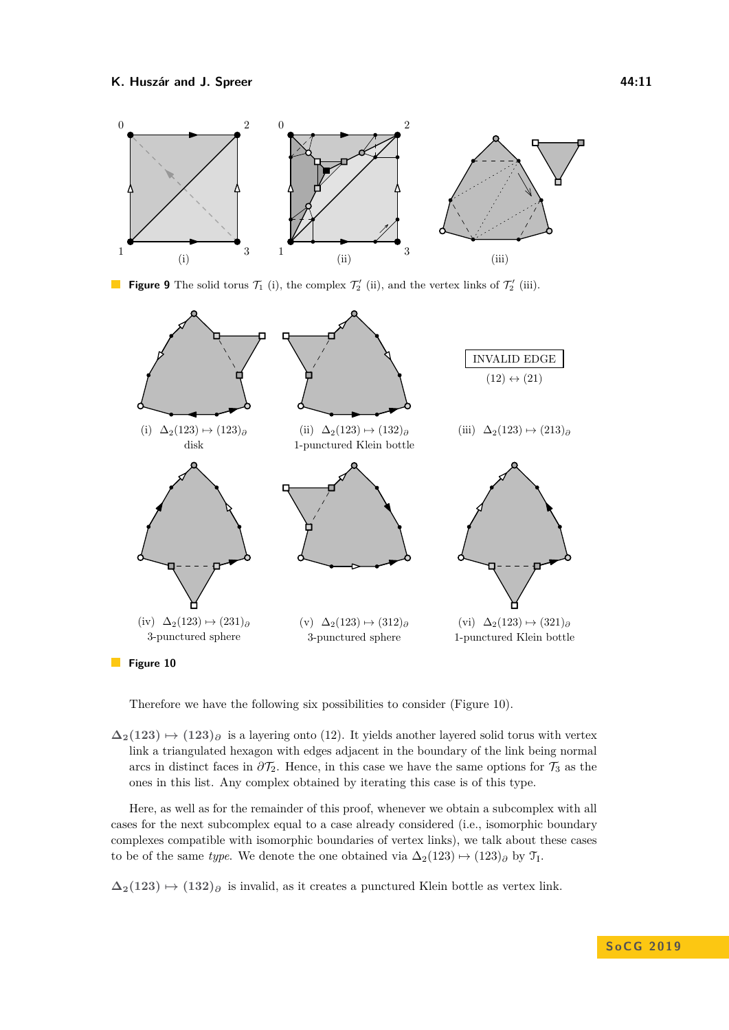<span id="page-10-0"></span>

**Figure 9** The solid torus  $\mathcal{T}_1$  (i), the complex  $\mathcal{T}_2'$  (ii), and the vertex links of  $\mathcal{T}_2'$  (iii).

<span id="page-10-1"></span>

**Figure 10** 

Therefore we have the following six possibilities to consider (Figure [10\)](#page-10-1).

 $\Delta_2(123)$   $\mapsto$  (123)<sub>∂</sub> is a layering onto (12). It yields another layered solid torus with vertex link a triangulated hexagon with edges adjacent in the boundary of the link being normal arcs in distinct faces in  $\partial \mathcal{T}_2$ . Hence, in this case we have the same options for  $\mathcal{T}_3$  as the ones in this list. Any complex obtained by iterating this case is of this type.

Here, as well as for the remainder of this proof, whenever we obtain a subcomplex with all cases for the next subcomplex equal to a case already considered (i.e., isomorphic boundary complexes compatible with isomorphic boundaries of vertex links), we talk about these cases to be of the same *type*. We denote the one obtained via  $\Delta_2(123) \rightarrow (123)_{\partial}$  by  $\mathcal{T}_{I}$ .

 $\Delta_2(123)$   $\mapsto$   $(132)$ <sup> $\theta$ </sup> is invalid, as it creates a punctured Klein bottle as vertex link.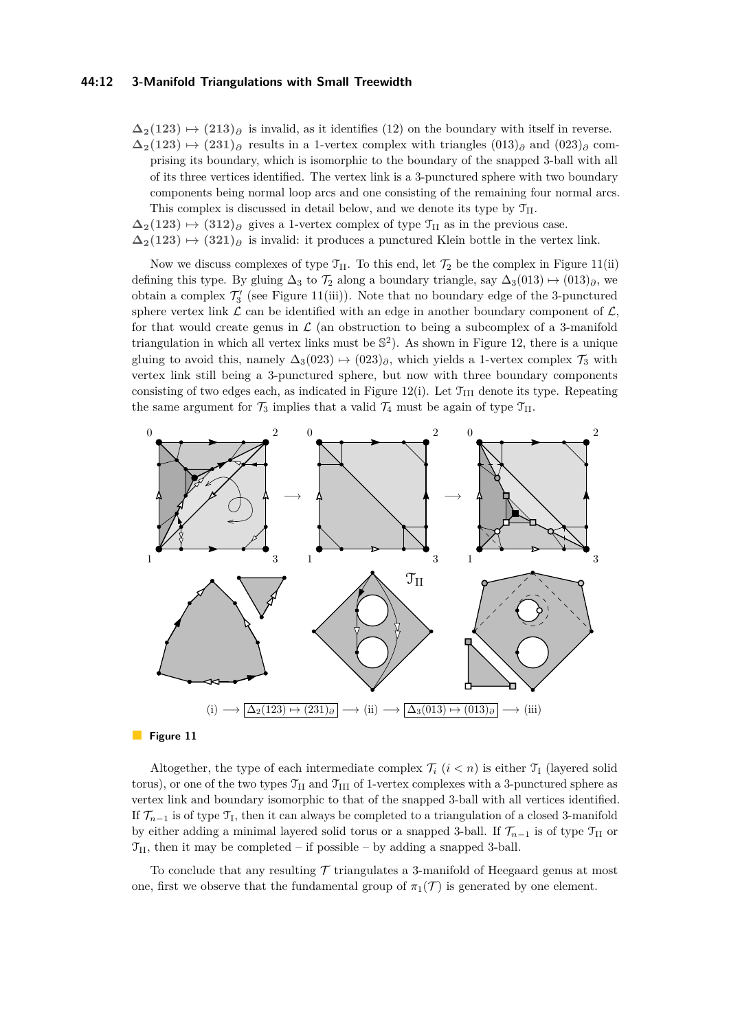#### **44:12 3-Manifold Triangulations with Small Treewidth**

 $\Delta_2(123) \rightarrow (213)_{\partial}$  is invalid, as it identifies (12) on the boundary with itself in reverse.  $\Delta_2(123)$   $\mapsto$   $(231)$ <sub> $\partial$ </sub> results in a 1-vertex complex with triangles  $(013)$ <sub> $\partial$ </sub> and  $(023)$ <sub> $\partial$ </sub> comprising its boundary, which is isomorphic to the boundary of the snapped 3-ball with all of its three vertices identified. The vertex link is a 3-punctured sphere with two boundary components being normal loop arcs and one consisting of the remaining four normal arcs. This complex is discussed in detail below, and we denote its type by  $\mathcal{T}_{II}$ .

 $\Delta_2(123) \mapsto (312)_{\partial}$  gives a 1-vertex complex of type  $\mathcal{T}_{\text{II}}$  as in the previous case.  $\Delta_2(123) \rightarrow (321)_{\partial}$  is invalid: it produces a punctured Klein bottle in the vertex link.

Now we discuss complexes of type  $\mathfrak{T}_{II}$ . To this end, let  $\mathcal{T}_2$  be the complex in Figure [11\(](#page-11-0)ii) defining this type. By gluing  $\Delta_3$  to  $\mathcal{T}_2$  along a boundary triangle, say  $\Delta_3(013) \mapsto (013)_{\partial}$ , we obtain a complex  $\mathcal{T}'_3$  (see Figure [11\(](#page-11-0)iii)). Note that no boundary edge of the 3-punctured sphere vertex link  $\mathcal L$  can be identified with an edge in another boundary component of  $\mathcal L$ , for that would create genus in  $\mathcal L$  (an obstruction to being a subcomplex of a 3-manifold triangulation in which all vertex links must be  $\mathbb{S}^2$ ). As shown in Figure [12,](#page-12-1) there is a unique gluing to avoid this, namely  $\Delta_3(023) \rightarrow (023)_{\partial}$ , which yields a 1-vertex complex  $\mathcal{T}_3$  with vertex link still being a 3-punctured sphere, but now with three boundary components consisting of two edges each, as indicated in Figure [12\(](#page-12-1)i). Let  $\mathcal{T}_{\text{III}}$  denote its type. Repeating the same argument for  $\mathcal{T}_3$  implies that a valid  $\mathcal{T}_4$  must be again of type  $\mathcal{T}_{II}$ .

<span id="page-11-0"></span>

**Figure 11** 

Altogether, the type of each intermediate complex  $\mathcal{T}_i$  ( $i < n$ ) is either  $\mathcal{T}_i$  (layered solid torus), or one of the two types  $\mathcal{T}_{\text{II}}$  and  $\mathcal{T}_{\text{III}}$  of 1-vertex complexes with a 3-punctured sphere as vertex link and boundary isomorphic to that of the snapped 3-ball with all vertices identified. If  $\mathcal{T}_{n-1}$  is of type  $\mathfrak{T}_I$ , then it can always be completed to a triangulation of a closed 3-manifold by either adding a minimal layered solid torus or a snapped 3-ball. If  $\mathcal{T}_{n-1}$  is of type  $\mathcal{T}_{II}$  or  $\mathcal{T}_{\text{II}}$ , then it may be completed – if possible – by adding a snapped 3-ball.

To conclude that any resulting  $\mathcal T$  triangulates a 3-manifold of Heegaard genus at most one, first we observe that the fundamental group of  $\pi_1(\mathcal{T})$  is generated by one element.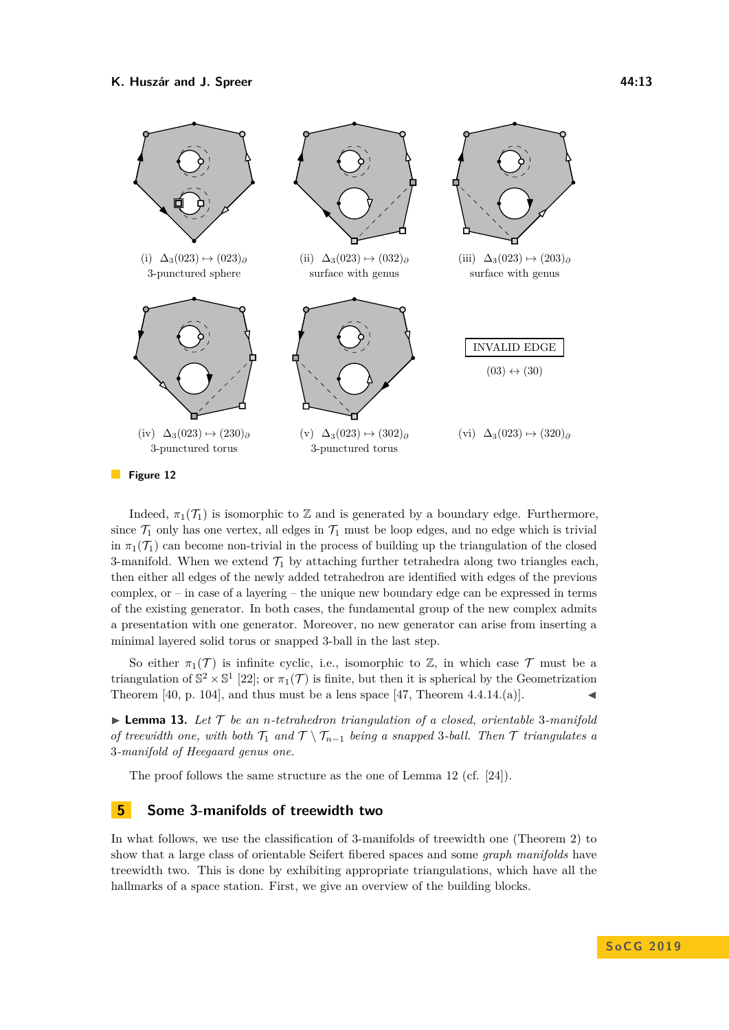<span id="page-12-1"></span>

**Figure 12** 

Indeed,  $\pi_1(\mathcal{T}_1)$  is isomorphic to Z and is generated by a boundary edge. Furthermore, since  $\mathcal{T}_1$  only has one vertex, all edges in  $\mathcal{T}_1$  must be loop edges, and no edge which is trivial in  $\pi_1(\mathcal{T}_1)$  can become non-trivial in the process of building up the triangulation of the closed 3-manifold. When we extend  $\mathcal{T}_1$  by attaching further tetrahedra along two triangles each, then either all edges of the newly added tetrahedron are identified with edges of the previous complex, or – in case of a layering – the unique new boundary edge can be expressed in terms of the existing generator. In both cases, the fundamental group of the new complex admits a presentation with one generator. Moreover, no new generator can arise from inserting a minimal layered solid torus or snapped 3-ball in the last step.

So either  $\pi_1(\mathcal{T})$  is infinite cyclic, i.e., isomorphic to Z, in which case  $\mathcal{T}$  must be a triangulation of  $\mathbb{S}^2 \times \mathbb{S}^1$  [\[22\]](#page-18-15); or  $\pi_1(\mathcal{T})$  is finite, but then it is spherical by the Geometrization Theorem [\[40,](#page-19-16) p. 104], and thus must be a lens space [\[47,](#page-19-11) Theorem 4.4.14.(a)].

 $\triangleright$  **Lemma 13.** Let  $\mathcal{T}$  be an *n*-tetrahedron triangulation of a closed, orientable 3-manifold *of treewidth one, with both*  $\mathcal{T}_1$  *and*  $\mathcal{T} \setminus \mathcal{T}_{n-1}$  *being a snapped* 3*-ball. Then*  $\mathcal{T}$  *triangulates a* 3*-manifold of Heegaard genus one.*

The proof follows the same structure as the one of Lemma [12](#page-9-1) (cf. [\[24\]](#page-18-10)).

### <span id="page-12-0"></span>**5 Some 3-manifolds of treewidth two**

In what follows, we use the classification of 3-manifolds of treewidth one (Theorem [2\)](#page-1-1) to show that a large class of orientable Seifert fibered spaces and some *graph manifolds* have treewidth two. This is done by exhibiting appropriate triangulations, which have all the hallmarks of a space station. First, we give an overview of the building blocks.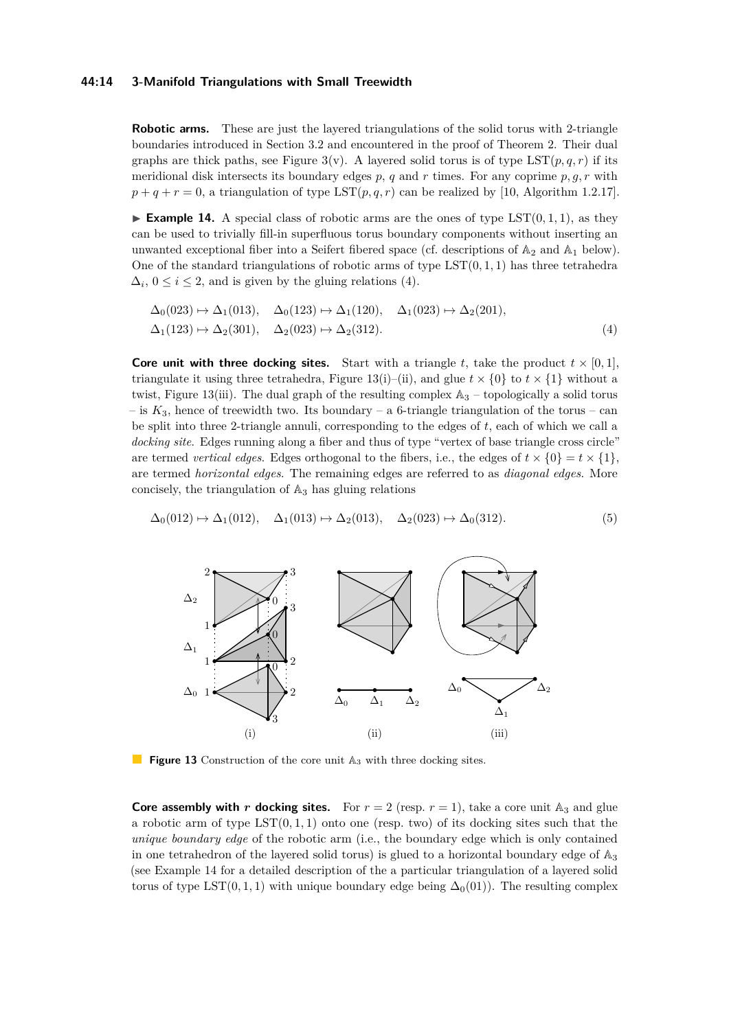#### **44:14 3-Manifold Triangulations with Small Treewidth**

**Robotic arms.** These are just the layered triangulations of the solid torus with 2-triangle boundaries introduced in Section [3.2](#page-4-3) and encountered in the proof of Theorem [2.](#page-1-1) Their dual graphs are thick paths, see Figure [3\(](#page-5-1)v). A layered solid torus is of type  $LST(p,q,r)$  if its meridional disk intersects its boundary edges *p*, *q* and *r* times. For any coprime *p, g, r* with  $p+q+r=0$ , a triangulation of type  $\text{LST}(p,q,r)$  can be realized by [\[10,](#page-18-21) Algorithm 1.2.17].

<span id="page-13-2"></span>**Example 14.** A special class of robotic arms are the ones of type  $\text{LST}(0,1,1)$ , as they can be used to trivially fill-in superfluous torus boundary components without inserting an unwanted exceptional fiber into a Seifert fibered space (cf. descriptions of  $\mathbb{A}_2$  and  $\mathbb{A}_1$  below). One of the standard triangulations of robotic arms of type LST(0*,* 1*,* 1) has three tetrahedra  $\Delta_i$ ,  $0 \leq i \leq 2$ , and is given by the gluing relations [\(4\)](#page-13-0).

<span id="page-13-0"></span>
$$
\Delta_0(023) \mapsto \Delta_1(013), \quad \Delta_0(123) \mapsto \Delta_1(120), \quad \Delta_1(023) \mapsto \Delta_2(201),
$$
  

$$
\Delta_1(123) \mapsto \Delta_2(301), \quad \Delta_2(023) \mapsto \Delta_2(312).
$$
 (4)

**Core unit with three docking sites.** Start with a triangle t, take the product  $t \times [0, 1]$ , triangulate it using three tetrahedra, Figure [13\(](#page-13-1)i)–(ii), and glue  $t \times \{0\}$  to  $t \times \{1\}$  without a twist, Figure [13\(](#page-13-1)iii). The dual graph of the resulting complex  $\mathbb{A}_3$  – topologically a solid torus  $-$  is  $K_3$ , hence of treewidth two. Its boundary  $-$  a 6-triangle triangulation of the torus  $-$  can be split into three 2-triangle annuli, corresponding to the edges of *t*, each of which we call a docking site. Edges running along a fiber and thus of type "vertex of base triangle cross circle" are termed *vertical edges*. Edges orthogonal to the fibers, i.e., the edges of  $t \times \{0\} = t \times \{1\}$ , are termed *horizontal edges*. The remaining edges are referred to as *diagonal edges*. More concisely, the triangulation of  $\mathbb{A}_3$  has gluing relations

$$
\Delta_0(012) \mapsto \Delta_1(012), \quad \Delta_1(013) \mapsto \Delta_2(013), \quad \Delta_2(023) \mapsto \Delta_0(312). \tag{5}
$$

<span id="page-13-1"></span>

**Figure 13** Construction of the core unit  $\mathbb{A}_3$  with three docking sites.

**Core assembly with** *r* **docking sites.** For  $r = 2$  (resp.  $r = 1$ ), take a core unit  $\mathbb{A}_3$  and glue a robotic arm of type  $\text{LST}(0,1,1)$  onto one (resp. two) of its docking sites such that the *unique boundary edge* of the robotic arm (i.e., the boundary edge which is only contained in one tetrahedron of the layered solid torus) is glued to a horizontal boundary edge of  $\mathbb{A}_3$ (see Example [14](#page-13-2) for a detailed description of the a particular triangulation of a layered solid torus of type LST(0, 1, 1) with unique boundary edge being  $\Delta_0(01)$ ). The resulting complex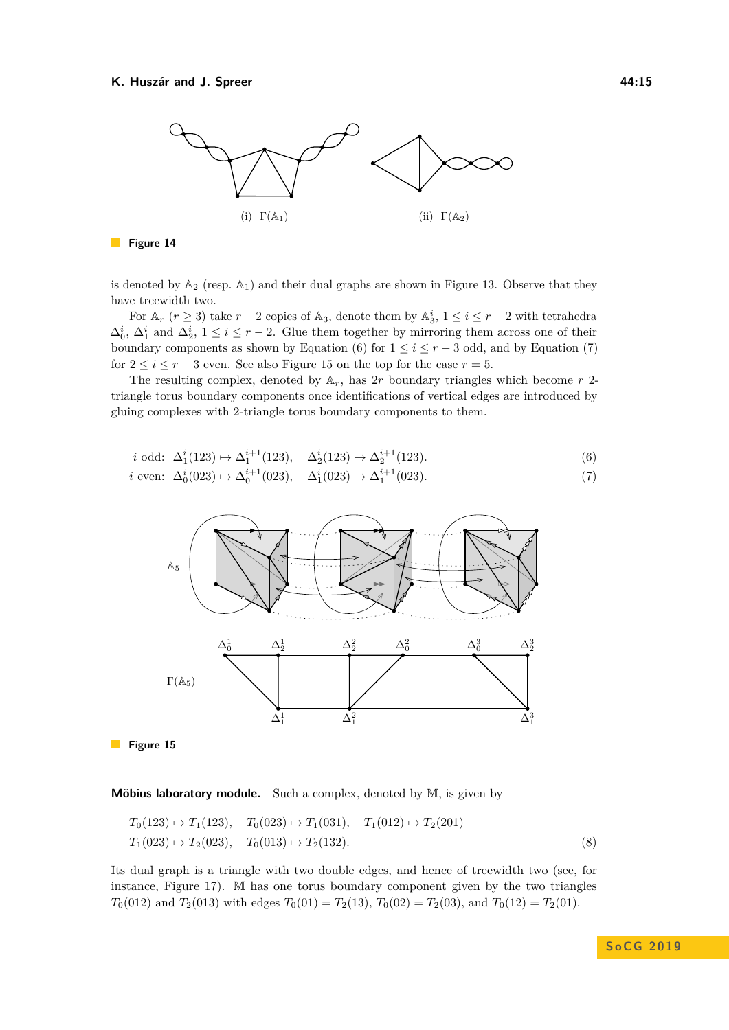

#### **Figure 14**

is denoted by  $\mathbb{A}_2$  (resp.  $\mathbb{A}_1$ ) and their dual graphs are shown in Figure [13.](#page-13-1) Observe that they have treewidth two.

For  $\mathbb{A}_r$  ( $r \geq 3$ ) take  $r-2$  copies of  $\mathbb{A}_3$ , denote them by  $\mathbb{A}_3^i$ ,  $1 \leq i \leq r-2$  with tetrahedra  $\Delta_0^i$ ,  $\Delta_1^i$  and  $\Delta_2^i$ ,  $1 \leq i \leq r-2$ . Glue them together by mirroring them across one of their boundary components as shown by Equation [\(6\)](#page-14-1) for  $1 \leq i \leq r-3$  odd, and by Equation [\(7\)](#page-14-2) for  $2 \leq i \leq r-3$  even. See also Figure [15](#page-14-3) on the top for the case  $r=5$ .

The resulting complex, denoted by  $A_r$ , has 2*r* boundary triangles which become *r* 2triangle torus boundary components once identifications of vertical edges are introduced by gluing complexes with 2-triangle torus boundary components to them.

$$
i \text{ odd: } \Delta_1^i(123) \mapsto \Delta_1^{i+1}(123), \quad \Delta_2^i(123) \mapsto \Delta_2^{i+1}(123). \tag{6}
$$

<span id="page-14-3"></span>*i* even: 
$$
\Delta_0^i(023) \mapsto \Delta_0^{i+1}(023)
$$
,  $\Delta_1^i(023) \mapsto \Delta_1^{i+1}(023)$ . (7)

<span id="page-14-2"></span><span id="page-14-1"></span>

Figure 15

#### **Möbius laboratory module.** Such a complex, denoted by M, is given by

$$
T_0(123) \to T_1(123), \quad T_0(023) \to T_1(031), \quad T_1(012) \to T_2(201)
$$
  
\n
$$
T_1(023) \to T_2(023), \quad T_0(013) \to T_2(132).
$$
\n(8)

<span id="page-14-0"></span>Its dual graph is a triangle with two double edges, and hence of treewidth two (see, for instance, Figure [17\)](#page-16-2). M has one torus boundary component given by the two triangles *T*<sub>0</sub>(012) and *T*<sub>2</sub>(013) with edges *T*<sub>0</sub>(01) = *T*<sub>2</sub>(13), *T*<sub>0</sub>(02) = *T*<sub>2</sub>(03), and *T*<sub>0</sub>(12) = *T*<sub>2</sub>(01).

**S o C G 2 0 1 9**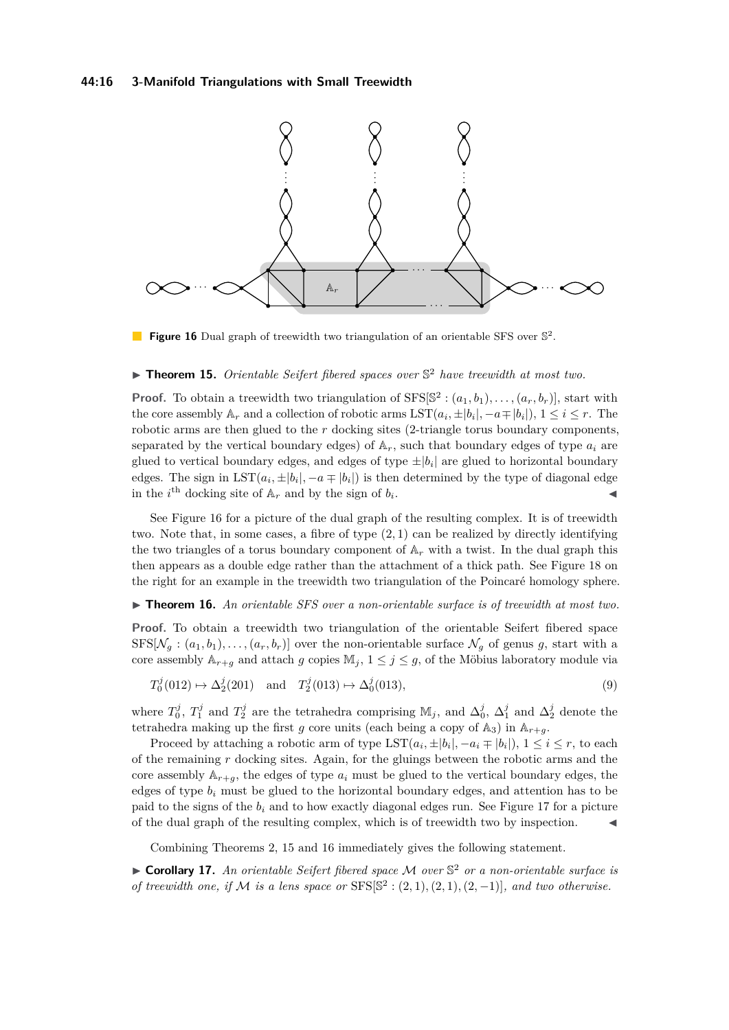#### **44:16 3-Manifold Triangulations with Small Treewidth**

<span id="page-15-2"></span>

**Figure 16** Dual graph of treewidth two triangulation of an orientable SFS over  $\mathbb{S}^2$ .

## ▶ **Theorem 15.** *Orientable Seifert fibered spaces over*  $\mathbb{S}^2$  *have treewidth at most two.*

**Proof.** To obtain a treewidth two triangulation of  $SFS[\mathbb{S}^2 : (a_1, b_1), \ldots, (a_r, b_r)]$ , start with the core assembly  $A_r$  and a collection of robotic arms  $\text{LST}(a_i, \pm |b_i|, -a \mp |b_i|), 1 \leq i \leq r$ . The robotic arms are then glued to the *r* docking sites (2-triangle torus boundary components, separated by the vertical boundary edges) of  $A_r$ , such that boundary edges of type  $a_i$  are glued to vertical boundary edges, and edges of type  $\pm |b_i|$  are glued to horizontal boundary edges. The sign in  $\text{LST}(a_i, \pm |b_i|, -a \mp |b_i|)$  is then determined by the type of diagonal edge in the *i*<sup>th</sup> docking site of  $A_r$  and by the sign of  $b_i$ . J

See Figure [16](#page-15-2) for a picture of the dual graph of the resulting complex. It is of treewidth two. Note that, in some cases, a fibre of type  $(2,1)$  can be realized by directly identifying the two triangles of a torus boundary component of  $A_r$  with a twist. In the dual graph this then appears as a double edge rather than the attachment of a thick path. See Figure [18](#page-16-3) on the right for an example in the treewidth two triangulation of the Poincaré homology sphere.

#### <span id="page-15-0"></span>► **Theorem 16.** An orientable SFS over a non-orientable surface is of treewidth at most two.

**Proof.** To obtain a treewidth two triangulation of the orientable Seifert fibered space  $SFS[\mathcal{N}_q : (a_1, b_1), \ldots, (a_r, b_r)]$  over the non-orientable surface  $\mathcal{N}_q$  of genus g, start with a core assembly  $\mathbb{A}_{r+g}$  and attach *g* copies  $\mathbb{M}_j$ ,  $1 \leq j \leq g$ , of the Möbius laboratory module via

$$
T_0^j(012) \mapsto \Delta_2^j(201) \quad \text{and} \quad T_2^j(013) \mapsto \Delta_0^j(013),\tag{9}
$$

where  $T_0^j$ ,  $T_1^j$  and  $T_2^j$  are the tetrahedra comprising  $\mathbb{M}_j$ , and  $\Delta_0^j$ ,  $\Delta_1^j$  and  $\Delta_2^j$  denote the tetrahedra making up the first *g* core units (each being a copy of  $\mathbb{A}_3$ ) in  $\mathbb{A}_{r+q}$ .

Proceed by attaching a robotic arm of type  $\text{LST}(a_i, \pm |b_i|, -a_i \mp |b_i|)$ ,  $1 \leq i \leq r$ , to each of the remaining *r* docking sites. Again, for the gluings between the robotic arms and the core assembly  $A_{r+g}$ , the edges of type  $a_i$  must be glued to the vertical boundary edges, the edges of type  $b_i$  must be glued to the horizontal boundary edges, and attention has to be paid to the signs of the  $b_i$  and to how exactly diagonal edges run. See Figure [17](#page-16-2) for a picture of the dual graph of the resulting complex, which is of treewidth two by inspection. J

Combining Theorems [2,](#page-1-1) [15](#page-14-0) and [16](#page-15-0) immediately gives the following statement.

<span id="page-15-1"></span>► **Corollary 17.** An orientable Seifert fibered space M over S<sup>2</sup> or a non-orientable surface is *of treewidth one, if*  $M$  *is a lens space or*  $SFS[**S**<sup>2</sup> : (2,1), (2,1), (2,-1)]$ *, and two otherwise.*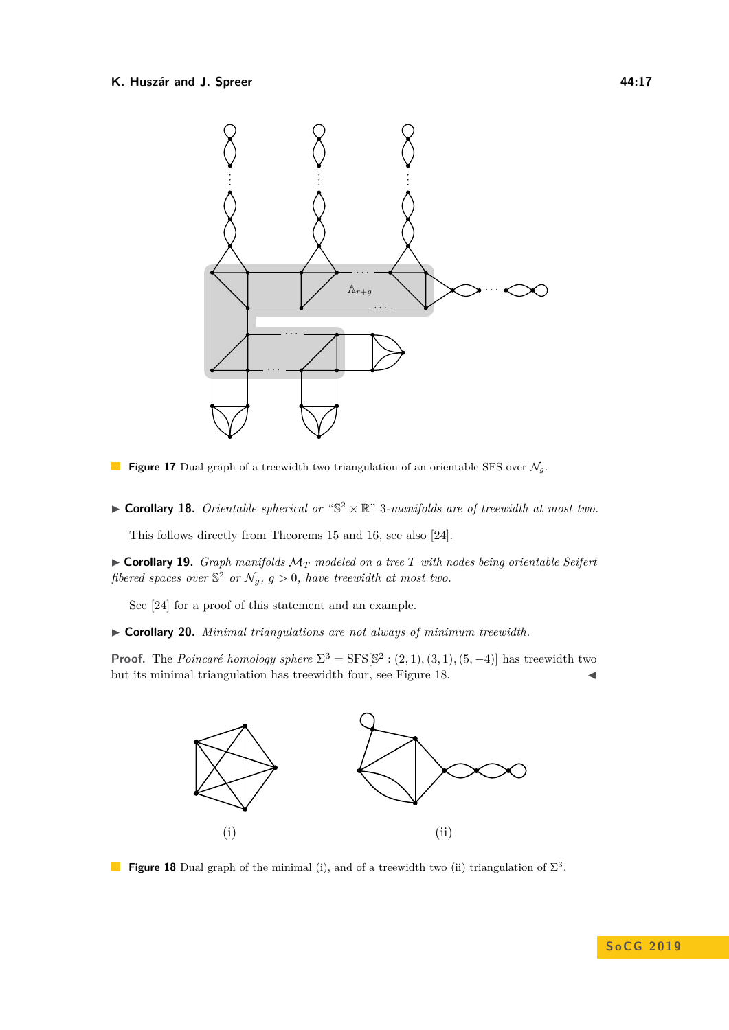<span id="page-16-2"></span>

- **Figure 17** Dual graph of a treewidth two triangulation of an orientable SFS over  $\mathcal{N}_g$ .  $\mathcal{L}^{\mathcal{L}}$
- **Corollary 18.** Orientable spherical or " $\mathbb{S}^2 \times \mathbb{R}$ " 3-manifolds are of treewidth at most two.

This follows directly from Theorems [15](#page-14-0) and [16,](#page-15-0) see also [\[24\]](#page-18-10).

 $\triangleright$  **Corollary 19.** *Graph manifolds*  $\mathcal{M}_T$  *modeled on a tree*  $T$  *with nodes being orientable Seifert* fibered spaces over  $\mathbb{S}^2$  or  $\mathcal{N}_g$ ,  $g > 0$ , have treewidth at most two.

See [\[24\]](#page-18-10) for a proof of this statement and an example.

<span id="page-16-1"></span>I **Corollary 20.** *Minimal triangulations are not always of minimum treewidth.*

<span id="page-16-3"></span>**Proof.** The *Poincaré homology sphere*  $\Sigma^3 = \text{SFS}[\mathbb{S}^2 : (2,1), (3,1), (5,-4)]$  has treewidth two but its minimal triangulation has treewidth four, see Figure [18.](#page-16-3)  $\blacksquare$ 



<span id="page-16-0"></span>**Figure 18** Dual graph of the minimal (i), and of a treewidth two (ii) triangulation of  $\Sigma^3$ .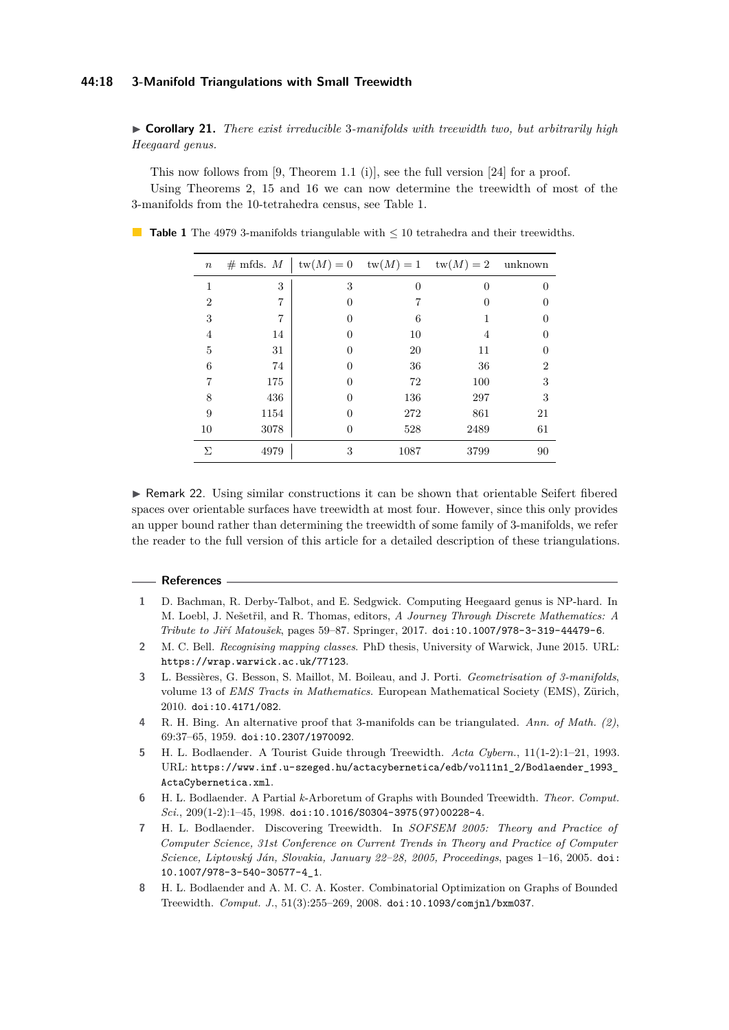#### **44:18 3-Manifold Triangulations with Small Treewidth**

I **Corollary 21.** *There exist irreducible* 3*-manifolds with treewidth two, but arbitrarily high Heegaard genus.*

This now follows from [\[9,](#page-18-22) Theorem 1.1 (i)], see the full version [\[24\]](#page-18-10) for a proof. Using Theorems [2,](#page-1-1) [15](#page-14-0) and [16](#page-15-0) we can now determine the treewidth of most of the 3-manifolds from the 10-tetrahedra census, see Table [1.](#page-17-0)

<span id="page-17-0"></span>■ **Table 1** The 4979 3-manifolds triangulable with  $\leq 10$  tetrahedra and their treewidths.

| $\boldsymbol{n}$ |      |                  |          | # mfds. $M \mid \text{tw}(M) = 0 \quad \text{tw}(M) = 1 \quad \text{tw}(M) = 2 \quad \text{unknown}$ |                |
|------------------|------|------------------|----------|------------------------------------------------------------------------------------------------------|----------------|
| 1                | 3    | 3                | $\theta$ | $\theta$                                                                                             | 0              |
| $\overline{2}$   | 7    | $\theta$         |          | 0                                                                                                    | $\theta$       |
| 3                | 7    | $\theta$         | 6        |                                                                                                      | 0              |
| 4                | 14   | $\theta$         | 10       | 4                                                                                                    | 0              |
| 5                | 31   |                  | 20       | 11                                                                                                   | 0              |
| 6                | 74   |                  | 36       | 36                                                                                                   | $\overline{2}$ |
| 7                | 175  | $\left( \right)$ | 72       | 100                                                                                                  | 3              |
| 8                | 436  | $\mathbf{0}$     | 136      | 297                                                                                                  | 3              |
| 9                | 1154 | 0                | 272      | 861                                                                                                  | 21             |
| 10               | 3078 | 0                | 528      | 2489                                                                                                 | 61             |
| Σ                | 4979 | 3                | 1087     | 3799                                                                                                 | 90             |

► Remark 22. Using similar constructions it can be shown that orientable Seifert fibered spaces over orientable surfaces have treewidth at most four. However, since this only provides an upper bound rather than determining the treewidth of some family of 3-manifolds, we refer the reader to the full version of this article for a detailed description of these triangulations.

#### **References**

- <span id="page-17-7"></span>**1** D. Bachman, R. Derby-Talbot, and E. Sedgwick. Computing Heegaard genus is NP-hard. In M. Loebl, J. Nešetřil, and R. Thomas, editors, *A Journey Through Discrete Mathematics: A Tribute to Jiří Matoušek*, pages 59–87. Springer, 2017. [doi:10.1007/978-3-319-44479-6](http://dx.doi.org/10.1007/978-3-319-44479-6).
- <span id="page-17-8"></span>**2** M. C. Bell. *Recognising mapping classes*. PhD thesis, University of Warwick, June 2015. URL: <https://wrap.warwick.ac.uk/77123>.
- <span id="page-17-5"></span>**3** L. Bessières, G. Besson, S. Maillot, M. Boileau, and J. Porti. *Geometrisation of 3-manifolds*, volume 13 of *EMS Tracts in Mathematics*. European Mathematical Society (EMS), Zürich, 2010. [doi:10.4171/082](http://dx.doi.org/10.4171/082).
- <span id="page-17-4"></span>**4** R. H. Bing. An alternative proof that 3-manifolds can be triangulated. *Ann. of Math. (2)*, 69:37–65, 1959. [doi:10.2307/1970092](http://dx.doi.org/10.2307/1970092).
- <span id="page-17-1"></span>**5** H. L. Bodlaender. A Tourist Guide through Treewidth. *Acta Cybern.*, 11(1-2):1–21, 1993. URL: [https://www.inf.u-szeged.hu/actacybernetica/edb/vol11n1\\_2/Bodlaender\\_1993\\_](https://www.inf.u-szeged.hu/actacybernetica/edb/vol11n1_2/Bodlaender_1993_ActaCybernetica.xml) [ActaCybernetica.xml](https://www.inf.u-szeged.hu/actacybernetica/edb/vol11n1_2/Bodlaender_1993_ActaCybernetica.xml).
- <span id="page-17-6"></span>**6** H. L. Bodlaender. A Partial *k*-Arboretum of Graphs with Bounded Treewidth. *Theor. Comput. Sci.*, 209(1-2):1–45, 1998. [doi:10.1016/S0304-3975\(97\)00228-4](http://dx.doi.org/10.1016/S0304-3975(97)00228-4).
- <span id="page-17-2"></span>**7** H. L. Bodlaender. Discovering Treewidth. In *SOFSEM 2005: Theory and Practice of Computer Science, 31st Conference on Current Trends in Theory and Practice of Computer Science, Liptovský Ján, Slovakia, January 22–28, 2005, Proceedings*, pages 1–16, 2005. [doi:](http://dx.doi.org/10.1007/978-3-540-30577-4_1) [10.1007/978-3-540-30577-4\\_1](http://dx.doi.org/10.1007/978-3-540-30577-4_1).
- <span id="page-17-3"></span>**8** H. L. Bodlaender and A. M. C. A. Koster. Combinatorial Optimization on Graphs of Bounded Treewidth. *Comput. J.*, 51(3):255–269, 2008. [doi:10.1093/comjnl/bxm037](http://dx.doi.org/10.1093/comjnl/bxm037).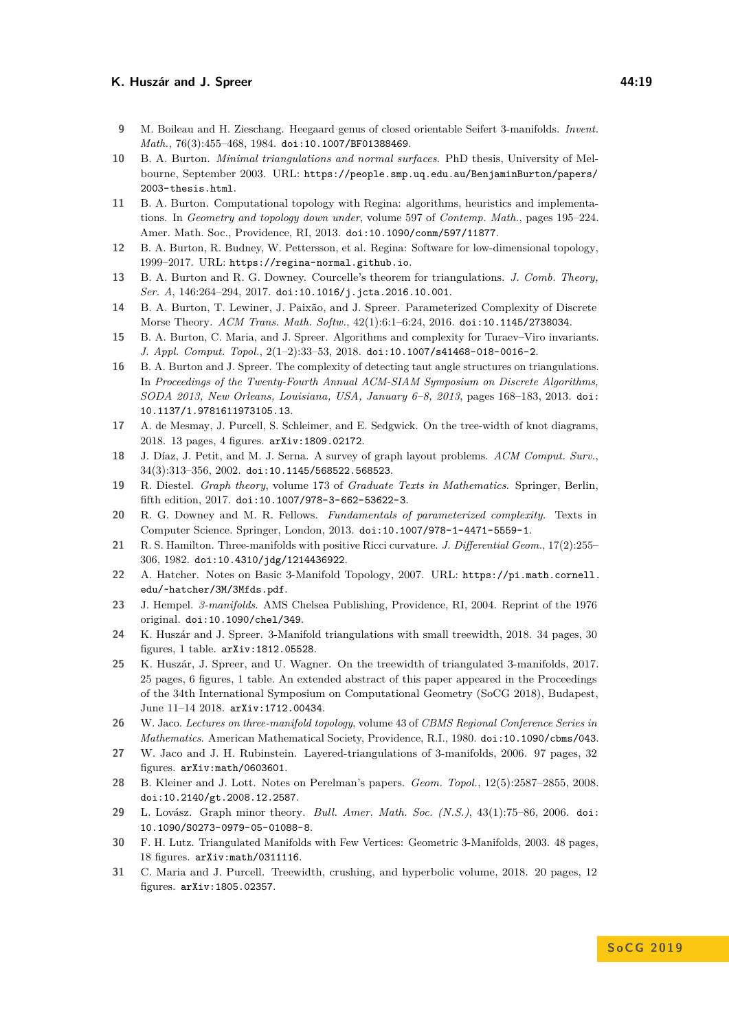- <span id="page-18-22"></span>**9** M. Boileau and H. Zieschang. Heegaard genus of closed orientable Seifert 3-manifolds. *Invent. Math.*, 76(3):455–468, 1984. [doi:10.1007/BF01388469](http://dx.doi.org/10.1007/BF01388469).
- <span id="page-18-21"></span>**10** B. A. Burton. *Minimal triangulations and normal surfaces*. PhD thesis, University of Melbourne, September 2003. URL: [https://people.smp.uq.edu.au/BenjaminBurton/papers/](https://people.smp.uq.edu.au/BenjaminBurton/papers/2003-thesis.html) [2003-thesis.html](https://people.smp.uq.edu.au/BenjaminBurton/papers/2003-thesis.html).
- <span id="page-18-0"></span>**11** B. A. Burton. Computational topology with Regina: algorithms, heuristics and implementations. In *Geometry and topology down under*, volume 597 of *Contemp. Math.*, pages 195–224. Amer. Math. Soc., Providence, RI, 2013. [doi:10.1090/conm/597/11877](http://dx.doi.org/10.1090/conm/597/11877).
- <span id="page-18-1"></span>**12** B. A. Burton, R. Budney, W. Pettersson, et al. Regina: Software for low-dimensional topology, 1999–2017. URL: <https://regina-normal.github.io>.
- <span id="page-18-2"></span>**13** B. A. Burton and R. G. Downey. Courcelle's theorem for triangulations. *J. Comb. Theory, Ser. A*, 146:264–294, 2017. [doi:10.1016/j.jcta.2016.10.001](http://dx.doi.org/10.1016/j.jcta.2016.10.001).
- <span id="page-18-3"></span>**14** B. A. Burton, T. Lewiner, J. Paixão, and J. Spreer. Parameterized Complexity of Discrete Morse Theory. *ACM Trans. Math. Softw.*, 42(1):6:1–6:24, 2016. [doi:10.1145/2738034](http://dx.doi.org/10.1145/2738034).
- <span id="page-18-4"></span>**15** B. A. Burton, C. Maria, and J. Spreer. Algorithms and complexity for Turaev–Viro invariants. *J. Appl. Comput. Topol.*, 2(1–2):33–53, 2018. [doi:10.1007/s41468-018-0016-2](http://dx.doi.org/10.1007/s41468-018-0016-2).
- <span id="page-18-5"></span>**16** B. A. Burton and J. Spreer. The complexity of detecting taut angle structures on triangulations. In *Proceedings of the Twenty-Fourth Annual ACM-SIAM Symposium on Discrete Algorithms, SODA 2013, New Orleans, Louisiana, USA, January 6–8, 2013*, pages 168–183, 2013. [doi:](http://dx.doi.org/10.1137/1.9781611973105.13) [10.1137/1.9781611973105.13](http://dx.doi.org/10.1137/1.9781611973105.13).
- <span id="page-18-7"></span>**17** A. de Mesmay, J. Purcell, S. Schleimer, and E. Sedgwick. On the tree-width of knot diagrams, 2018. 13 pages, 4 figures. [arXiv:1809.02172](http://arxiv.org/abs/1809.02172).
- <span id="page-18-14"></span>**18** J. Díaz, J. Petit, and M. J. Serna. A survey of graph layout problems. *ACM Comput. Surv.*, 34(3):313–356, 2002. [doi:10.1145/568522.568523](http://dx.doi.org/10.1145/568522.568523).
- <span id="page-18-11"></span>**19** R. Diestel. *Graph theory*, volume 173 of *Graduate Texts in Mathematics*. Springer, Berlin, fifth edition, 2017. [doi:10.1007/978-3-662-53622-3](http://dx.doi.org/10.1007/978-3-662-53622-3).
- <span id="page-18-13"></span>**20** R. G. Downey and M. R. Fellows. *Fundamentals of parameterized complexity*. Texts in Computer Science. Springer, London, 2013. [doi:10.1007/978-1-4471-5559-1](http://dx.doi.org/10.1007/978-1-4471-5559-1).
- <span id="page-18-19"></span>**21** R. S. Hamilton. Three-manifolds with positive Ricci curvature. *J. Differential Geom.*, 17(2):255– 306, 1982. [doi:10.4310/jdg/1214436922](http://dx.doi.org/10.4310/jdg/1214436922).
- <span id="page-18-15"></span>**22** A. Hatcher. Notes on Basic 3-Manifold Topology, 2007. URL: [https://pi.math.cornell.](https://pi.math.cornell.edu/~hatcher/3M/3Mfds.pdf) [edu/~hatcher/3M/3Mfds.pdf](https://pi.math.cornell.edu/~hatcher/3M/3Mfds.pdf).
- <span id="page-18-16"></span>**23** J. Hempel. *3-manifolds*. AMS Chelsea Publishing, Providence, RI, 2004. Reprint of the 1976 original. [doi:10.1090/chel/349](http://dx.doi.org/10.1090/chel/349).
- <span id="page-18-10"></span>**24** K. Huszár and J. Spreer. 3-Manifold triangulations with small treewidth, 2018. 34 pages, 30 figures, 1 table. [arXiv:1812.05528](http://arxiv.org/abs/1812.05528).
- <span id="page-18-6"></span>**25** K. Huszár, J. Spreer, and U. Wagner. On the treewidth of triangulated 3-manifolds, 2017. 25 pages, 6 figures, 1 table. An extended abstract of this paper appeared in the Proceedings of the 34th International Symposium on Computational Geometry (SoCG 2018), Budapest, June 11–14 2018. [arXiv:1712.00434](http://arxiv.org/abs/1712.00434).
- <span id="page-18-17"></span>**26** W. Jaco. *Lectures on three-manifold topology*, volume 43 of *CBMS Regional Conference Series in Mathematics*. American Mathematical Society, Providence, R.I., 1980. [doi:10.1090/cbms/043](http://dx.doi.org/10.1090/cbms/043).
- <span id="page-18-9"></span>**27** W. Jaco and J. H. Rubinstein. Layered-triangulations of 3-manifolds, 2006. 97 pages, 32 figures. [arXiv:math/0603601](http://arxiv.org/abs/math/0603601).
- <span id="page-18-20"></span>**28** B. Kleiner and J. Lott. Notes on Perelman's papers. *Geom. Topol.*, 12(5):2587–2855, 2008. [doi:10.2140/gt.2008.12.2587](http://dx.doi.org/10.2140/gt.2008.12.2587).
- <span id="page-18-12"></span>**29** L. Lovász. Graph minor theory. *Bull. Amer. Math. Soc. (N.S.)*, 43(1):75–86, 2006. [doi:](http://dx.doi.org/10.1090/S0273-0979-05-01088-8) [10.1090/S0273-0979-05-01088-8](http://dx.doi.org/10.1090/S0273-0979-05-01088-8).
- <span id="page-18-18"></span>**30** F. H. Lutz. Triangulated Manifolds with Few Vertices: Geometric 3-Manifolds, 2003. 48 pages, 18 figures. [arXiv:math/0311116](http://arxiv.org/abs/math/0311116).
- <span id="page-18-8"></span>**31** C. Maria and J. Purcell. Treewidth, crushing, and hyperbolic volume, 2018. 20 pages, 12 figures. [arXiv:1805.02357](http://arxiv.org/abs/1805.02357).